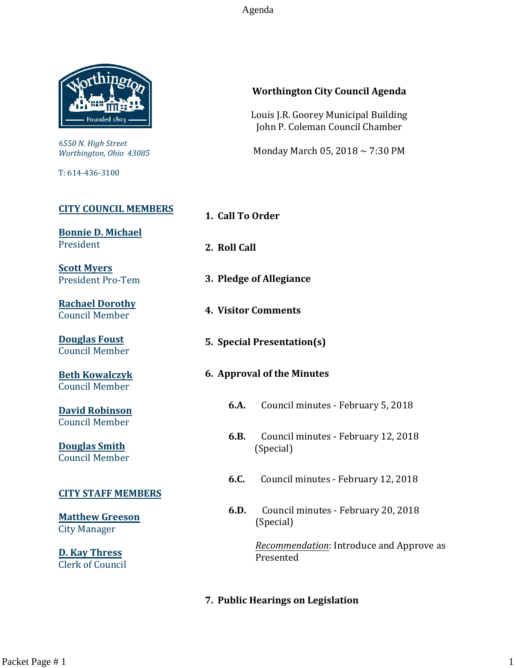Agenda



*6550 N. High Street Worthington, Ohio 43085*

T: 614-436-3100

# **[CITY COUNCIL MEMBERS](mailto:CityCouncil@ci.worthington.oh.us?subject=Email%20from%20City%20Council%20Meeting%20Agenda%20Link)**

**[Bonnie D. Michael](mailto:bmichael@ci.worthington.oh.us?subject=Email%20from%20City%20Council%20Meeting%20Agenda%20Link)** President

**[Scott Myers](mailto:smyers@ci.worthington.oh.us?subject=Email%20from%20City%20Council%20Meeting%20Agenda%20Link)** President Pro-Tem

**[Rachael Dorothy](mailto:rdorothy@ci.worthington.oh.us?subject=Email%20from%20City%20Council%20Meeting%20Agenda%20Link)** Council Member

**[Douglas Foust](mailto:Doug.Foust@ci.worthington.oh.us?subject=Email%20from%20City%20Council%20Meeting%20Agenda%20Link)** Council Member

**[Beth Kowalczyk](mailto:BKowalczyk@ci.worthington.oh.us)** Council Member

**[David Robinson](mailto:DRobinson@ci.worthington.oh.us)** Council Member

**[Douglas Smith](mailto:DSmith@ci.worthington.oh.us?subject=Email%20from%20City%20Council%20Meeting%20Agenda%20Link)** Council Member

#### **[CITY STAFF MEMBERS](mailto:Council@ci.worthington.oh.us?subject=Email%20from%20City%20Council%20Meeting%20Agenda%20Link)**

**[Matthew Greeson](mailto:MGreeson@ci.worthington.oh.us?subject=Email%20from%20City%20Council%20Meeting%20Agenda%20Link)** City Manager

**[D. Kay Thress](mailto:DThress@ci.worthington.oh.us?subject=Email%20from%20City%20Council%20Meeting%20Agenda%20Link)** Clerk of Council

# **Worthington City Council Agenda**

Louis J.R. Goorey Municipal Building John P. Coleman Council Chamber

Monday March 05, 2018 ~ 7:30 PM

**1. Call To Order**

- **2. Roll Call**
- **3. Pledge of Allegiance**
- **4. Visitor Comments**
- **5. Special Presentation(s)**

# **6. Approval of the Minutes**

- **6.A.** Council minutes February 5, 2018
- **6.B.** Council minutes February 12, 2018 (Special)
- **6.C.** Council minutes February 12, 2018
- **6.D.** Council minutes February 20, 2018 (Special)

*Recommendation*: Introduce and Approve as Presented

#### **7. Public Hearings on Legislation**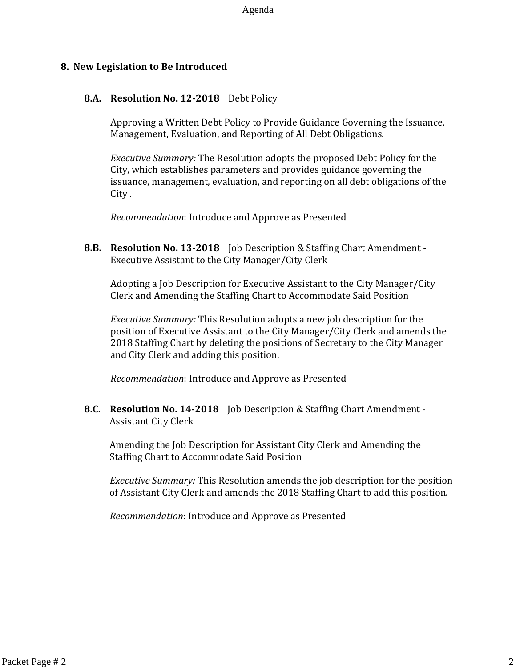#### **8. New Legislation to Be Introduced**

#### **8.A. Resolution No. 12-2018** Debt Policy

Approving a Written Debt Policy to Provide Guidance Governing the Issuance, Management, Evaluation, and Reporting of All Debt Obligations.

*Executive Summary:* The Resolution adopts the proposed Debt Policy for the City, which establishes parameters and provides guidance governing the issuance, management, evaluation, and reporting on all debt obligations of the City .

*Recommendation*: Introduce and Approve as Presented

**8.B. Resolution No. 13-2018** Job Description & Staffing Chart Amendment - Executive Assistant to the City Manager/City Clerk

Adopting a Job Description for Executive Assistant to the City Manager/City Clerk and Amending the Staffing Chart to Accommodate Said Position

*Executive Summary:* This Resolution adopts a new job description for the position of Executive Assistant to the City Manager/City Clerk and amends the 2018 Staffing Chart by deleting the positions of Secretary to the City Manager and City Clerk and adding this position.

*Recommendation*: Introduce and Approve as Presented

**8.C. Resolution No. 14-2018** Job Description & Staffing Chart Amendment - Assistant City Clerk

Amending the Job Description for Assistant City Clerk and Amending the Staffing Chart to Accommodate Said Position

*Executive Summary:* This Resolution amends the job description for the position of Assistant City Clerk and amends the 2018 Staffing Chart to add this position.

*Recommendation*: Introduce and Approve as Presented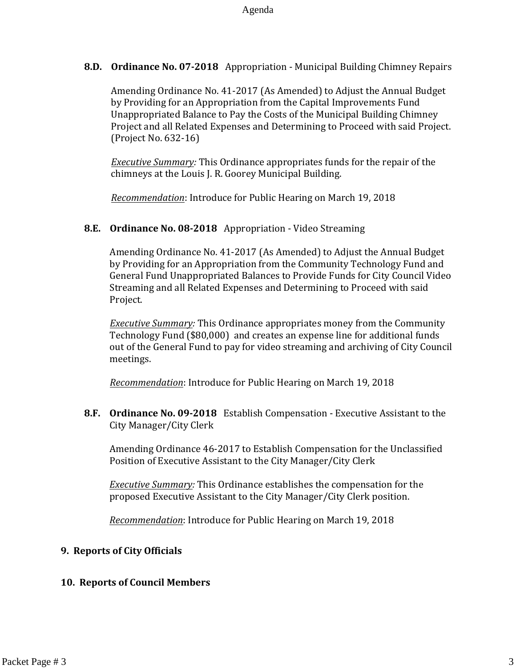**8.D. Ordinance No. 07-2018** Appropriation - Municipal Building Chimney Repairs

Amending Ordinance No. 41-2017 (As Amended) to Adjust the Annual Budget by Providing for an Appropriation from the Capital Improvements Fund Unappropriated Balance to Pay the Costs of the Municipal Building Chimney Project and all Related Expenses and Determining to Proceed with said Project. (Project No. 632-16)

*Executive Summary:* This Ordinance appropriates funds for the repair of the chimneys at the Louis J. R. Goorey Municipal Building.

*Recommendation*: Introduce for Public Hearing on March 19, 2018

#### **8.E. Ordinance No. 08-2018** Appropriation - Video Streaming

Amending Ordinance No. 41-2017 (As Amended) to Adjust the Annual Budget by Providing for an Appropriation from the Community Technology Fund and General Fund Unappropriated Balances to Provide Funds for City Council Video Streaming and all Related Expenses and Determining to Proceed with said Project.

*Executive Summary:* This Ordinance appropriates money from the Community Technology Fund (\$80,000) and creates an expense line for additional funds out of the General Fund to pay for video streaming and archiving of City Council meetings.

*Recommendation*: Introduce for Public Hearing on March 19, 2018

**8.F. Ordinance No. 09-2018** Establish Compensation - Executive Assistant to the City Manager/City Clerk

Amending Ordinance 46-2017 to Establish Compensation for the Unclassified Position of Executive Assistant to the City Manager/City Clerk

*Executive Summary:* This Ordinance establishes the compensation for the proposed Executive Assistant to the City Manager/City Clerk position.

*Recommendation*: Introduce for Public Hearing on March 19, 2018

# **9. Reports of City Officials**

# **10. Reports of Council Members**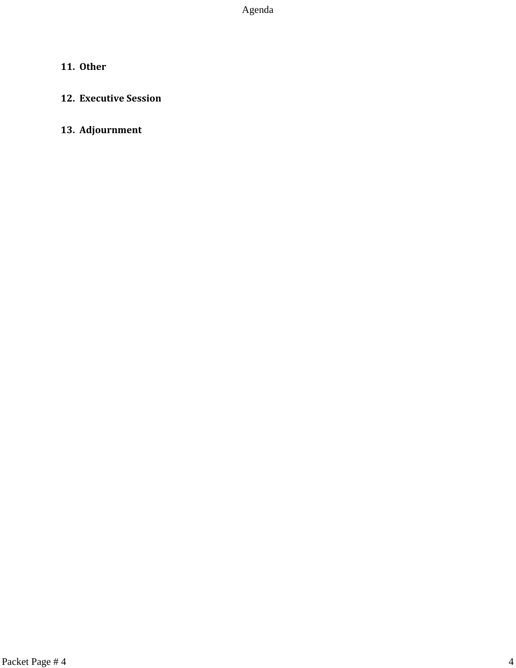# **11. Other**

# **12. Executive Session**

# **13. Adjournment**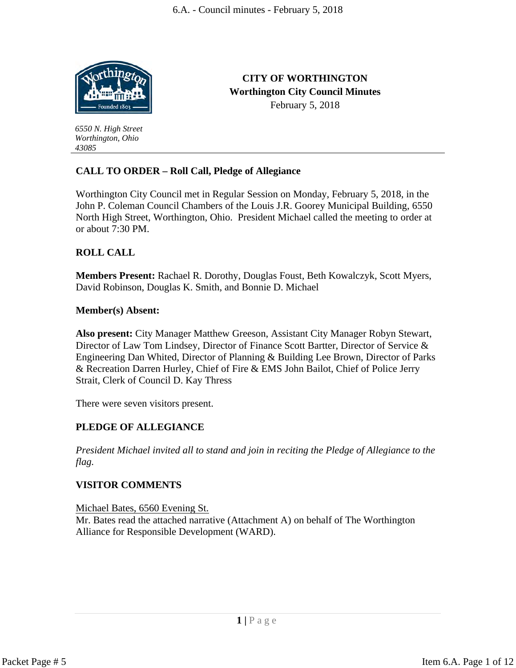

*43085*

*6550 N. High Street Worthington, Ohio* 

**CITY OF WORTHINGTON Worthington City Council Minutes** February 5, 2018

# **CALL TO ORDER – Roll Call, Pledge of Allegiance**

Worthington City Council met in Regular Session on Monday, February 5, 2018, in the John P. Coleman Council Chambers of the Louis J.R. Goorey Municipal Building, 6550 North High Street, Worthington, Ohio. President Michael called the meeting to order at or about 7:30 PM.

# **ROLL CALL**

**Members Present:** Rachael R. Dorothy, Douglas Foust, Beth Kowalczyk, Scott Myers, David Robinson, Douglas K. Smith, and Bonnie D. Michael

#### **Member(s) Absent:**

**Also present:** City Manager Matthew Greeson, Assistant City Manager Robyn Stewart, Director of Law Tom Lindsey, Director of Finance Scott Bartter, Director of Service & Engineering Dan Whited, Director of Planning & Building Lee Brown, Director of Parks & Recreation Darren Hurley, Chief of Fire & EMS John Bailot, Chief of Police Jerry Strait, Clerk of Council D. Kay Thress

There were seven visitors present.

# **PLEDGE OF ALLEGIANCE**

*President Michael invited all to stand and join in reciting the Pledge of Allegiance to the flag.*

# **VISITOR COMMENTS**

Michael Bates, 6560 Evening St. Mr. Bates read the attached narrative (Attachment A) on behalf of The Worthington Alliance for Responsible Development (WARD).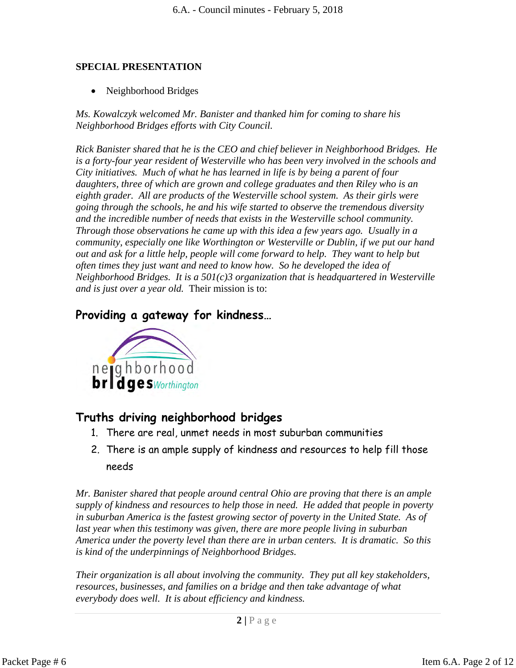# **SPECIAL PRESENTATION**

• Neighborhood Bridges

*Ms. Kowalczyk welcomed Mr. Banister and thanked him for coming to share his Neighborhood Bridges efforts with City Council.*

*Rick Banister shared that he is the CEO and chief believer in Neighborhood Bridges. He is a forty-four year resident of Westerville who has been very involved in the schools and City initiatives. Much of what he has learned in life is by being a parent of four daughters, three of which are grown and college graduates and then Riley who is an eighth grader. All are products of the Westerville school system. As their girls were going through the schools, he and his wife started to observe the tremendous diversity and the incredible number of needs that exists in the Westerville school community. Through those observations he came up with this idea a few years ago. Usually in a community, especially one like Worthington or Westerville or Dublin, if we put our hand out and ask for a little help, people will come forward to help. They want to help but often times they just want and need to know how. So he developed the idea of Neighborhood Bridges. It is a 501(c)3 organization that is headquartered in Westerville and is just over a year old.* Their mission is to:

# **Providing a gateway for kindness…**



# **Truths driving neighborhood bridges**

- 1. There are real, unmet needs in most suburban communities
- 2. There is an ample supply of kindness and resources to help fill those needs

*Mr. Banister shared that people around central Ohio are proving that there is an ample supply of kindness and resources to help those in need. He added that people in poverty in suburban America is the fastest growing sector of poverty in the United State. As of*  last year when this testimony was given, there are more people living in suburban *America under the poverty level than there are in urban centers. It is dramatic. So this is kind of the underpinnings of Neighborhood Bridges.*

*Their organization is all about involving the community. They put all key stakeholders, resources, businesses, and families on a bridge and then take advantage of what everybody does well. It is about efficiency and kindness.*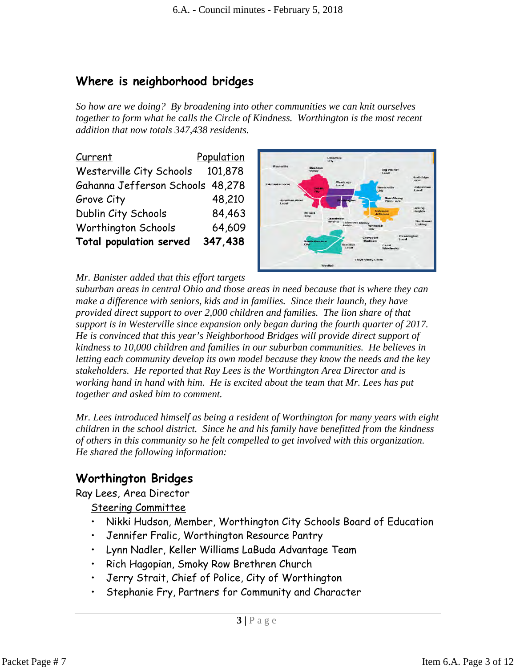# **Where is neighborhood bridges**

*So how are we doing? By broadening into other communities we can knit ourselves together to form what he calls the Circle of Kindness. Worthington is the most recent addition that now totals 347,438 residents.* 

| Current                          | Population |
|----------------------------------|------------|
| Westerville City Schools         | 101,878    |
| Gahanna Jefferson Schools 48,278 |            |
| Grove City                       | 48,210     |
| Dublin City Schools              | 84,463     |
| Worthington Schools              | 64,609     |
| <b>Total population served</b>   | 347,438    |



# *Mr. Banister added that this effort targets*

*suburban areas in central Ohio and those areas in need because that is where they can*  make a difference with seniors, kids and in families. Since their launch, they have *provided direct support to over 2,000 children and families. The lion share of that support is in Westerville since expansion only began during the fourth quarter of 2017. He is convinced that this year's Neighborhood Bridges will provide direct support of kindness to 10,000 children and families in our suburban communities. He believes in letting each community develop its own model because they know the needs and the key stakeholders. He reported that Ray Lees is the Worthington Area Director and is working hand in hand with him. He is excited about the team that Mr. Lees has put together and asked him to comment.* 

*Mr. Lees introduced himself as being a resident of Worthington for many years with eight children in the school district. Since he and his family have benefitted from the kindness of others in this community so he felt compelled to get involved with this organization. He shared the following information:*

# **Worthington Bridges**

Ray Lees, Area Director

Steering Committee

- Nikki Hudson, Member, Worthington City Schools Board of Education
- Jennifer Fralic, Worthington Resource Pantry
- Lynn Nadler, Keller Williams LaBuda Advantage Team
- Rich Hagopian, Smoky Row Brethren Church
- Jerry Strait, Chief of Police, City of Worthington
- Stephanie Fry, Partners for Community and Character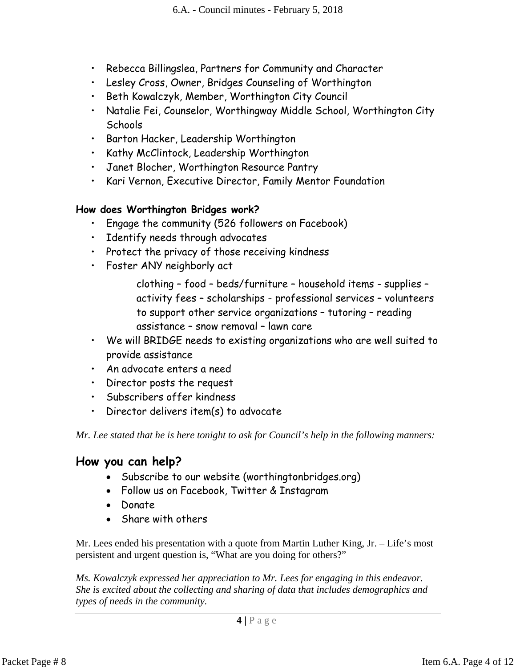- Rebecca Billingslea, Partners for Community and Character
- Lesley Cross, Owner, Bridges Counseling of Worthington
- Beth Kowalczyk, Member, Worthington City Council
- Natalie Fei, Counselor, Worthingway Middle School, Worthington City **Schools**
- Barton Hacker, Leadership Worthington
- Kathy McClintock, Leadership Worthington
- Janet Blocher, Worthington Resource Pantry
- Kari Vernon, Executive Director, Family Mentor Foundation

# **How does Worthington Bridges work?**

- Engage the community (526 followers on Facebook)
- Identify needs through advocates
- Protect the privacy of those receiving kindness
- Foster ANY neighborly act

clothing – food – beds/furniture – household items - supplies – activity fees – scholarships - professional services – volunteers to support other service organizations – tutoring – reading assistance – snow removal – lawn care

- We will BRIDGE needs to existing organizations who are well suited to provide assistance
- An advocate enters a need
- Director posts the request
- Subscribers offer kindness
- Director delivers item(s) to advocate

*Mr. Lee stated that he is here tonight to ask for Council's help in the following manners:*

# **How you can help?**

- Subscribe to our website (worthingtonbridges.org)
- Follow us on Facebook, Twitter & Instagram
- Donate
- Share with others

Mr. Lees ended his presentation with a quote from Martin Luther King, Jr. – Life's most persistent and urgent question is, "What are you doing for others?"

*Ms. Kowalczyk expressed her appreciation to Mr. Lees for engaging in this endeavor. She is excited about the collecting and sharing of data that includes demographics and types of needs in the community.*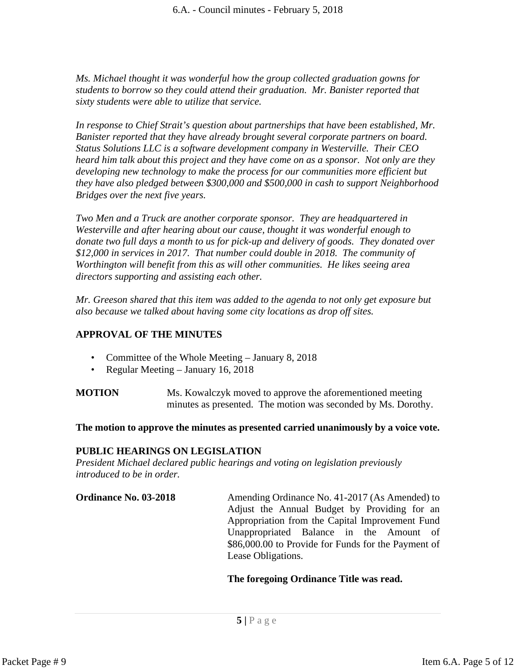*Ms. Michael thought it was wonderful how the group collected graduation gowns for students to borrow so they could attend their graduation. Mr. Banister reported that sixty students were able to utilize that service.*

*In response to Chief Strait's question about partnerships that have been established, Mr. Banister reported that they have already brought several corporate partners on board. Status Solutions LLC is a software development company in Westerville. Their CEO heard him talk about this project and they have come on as a sponsor. Not only are they developing new technology to make the process for our communities more efficient but they have also pledged between \$300,000 and \$500,000 in cash to support Neighborhood Bridges over the next five years.*

*Two Men and a Truck are another corporate sponsor. They are headquartered in Westerville and after hearing about our cause, thought it was wonderful enough to donate two full days a month to us for pick-up and delivery of goods. They donated over \$12,000 in services in 2017. That number could double in 2018. The community of Worthington will benefit from this as will other communities. He likes seeing area directors supporting and assisting each other.*

*Mr. Greeson shared that this item was added to the agenda to not only get exposure but also because we talked about having some city locations as drop off sites.*

# **APPROVAL OF THE MINUTES**

- Committee of the Whole Meeting January 8, 2018
- Regular Meeting January 16, 2018

**MOTION** Ms. Kowalczyk moved to approve the aforementioned meeting minutes as presented. The motion was seconded by Ms. Dorothy.

**The motion to approve the minutes as presented carried unanimously by a voice vote.** 

# **PUBLIC HEARINGS ON LEGISLATION**

*President Michael declared public hearings and voting on legislation previously introduced to be in order.* 

**Ordinance No. 03-2018** Amending Ordinance No. 41-2017 (As Amended) to Adjust the Annual Budget by Providing for an Appropriation from the Capital Improvement Fund Unappropriated Balance in the Amount of \$86,000.00 to Provide for Funds for the Payment of Lease Obligations.

#### **The foregoing Ordinance Title was read.**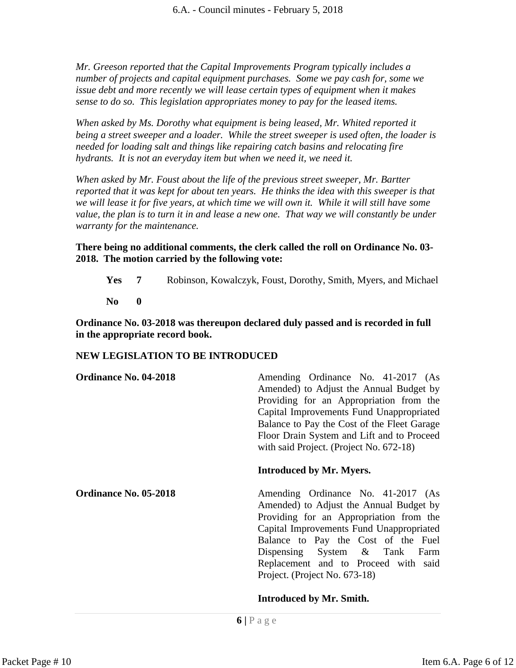*Mr. Greeson reported that the Capital Improvements Program typically includes a number of projects and capital equipment purchases. Some we pay cash for, some we issue debt and more recently we will lease certain types of equipment when it makes sense to do so. This legislation appropriates money to pay for the leased items.*

*When asked by Ms. Dorothy what equipment is being leased, Mr. Whited reported it being a street sweeper and a loader. While the street sweeper is used often, the loader is needed for loading salt and things like repairing catch basins and relocating fire hydrants. It is not an everyday item but when we need it, we need it.*

*When asked by Mr. Foust about the life of the previous street sweeper, Mr. Bartter reported that it was kept for about ten years. He thinks the idea with this sweeper is that we will lease it for five years, at which time we will own it. While it will still have some value, the plan is to turn it in and lease a new one. That way we will constantly be under warranty for the maintenance.*

**There being no additional comments, the clerk called the roll on Ordinance No. 03- 2018. The motion carried by the following vote:**

**Yes 7** Robinson, Kowalczyk, Foust, Dorothy, Smith, Myers, and Michael **No 0**

**Ordinance No. 03-2018 was thereupon declared duly passed and is recorded in full in the appropriate record book.**

# **NEW LEGISLATION TO BE INTRODUCED**

| <b>Ordinance No. 04-2018</b> | Amending Ordinance No. 41-2017 (As<br>Amended) to Adjust the Annual Budget by<br>Providing for an Appropriation from the<br>Capital Improvements Fund Unappropriated<br>Balance to Pay the Cost of the Fleet Garage<br>Floor Drain System and Lift and to Proceed<br>with said Project. (Project No. 672-18)             |
|------------------------------|--------------------------------------------------------------------------------------------------------------------------------------------------------------------------------------------------------------------------------------------------------------------------------------------------------------------------|
|                              | <b>Introduced by Mr. Myers.</b>                                                                                                                                                                                                                                                                                          |
| <b>Ordinance No. 05-2018</b> | Amending Ordinance No. 41-2017 (As<br>Amended) to Adjust the Annual Budget by<br>Providing for an Appropriation from the<br>Capital Improvements Fund Unappropriated<br>Balance to Pay the Cost of the Fuel<br>Dispensing System & Tank<br>Farm<br>Replacement and to Proceed with said<br>Project. (Project No. 673-18) |
|                              | <b>Introduced by Mr. Smith.</b>                                                                                                                                                                                                                                                                                          |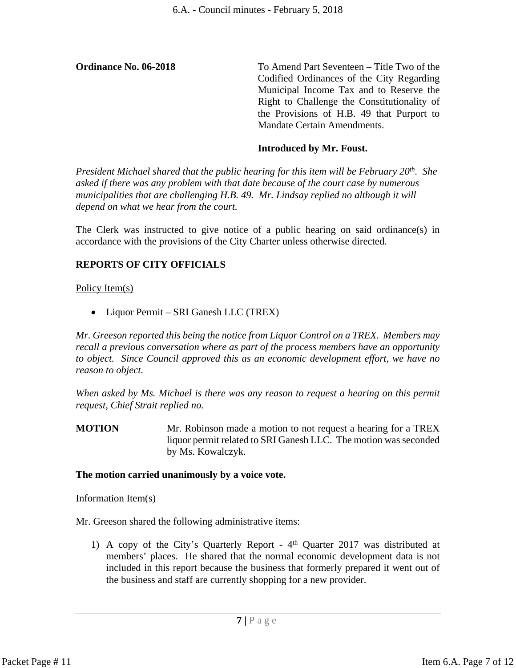**Ordinance No. 06-2018** To Amend Part Seventeen – Title Two of the Codified Ordinances of the City Regarding Municipal Income Tax and to Reserve the Right to Challenge the Constitutionality of the Provisions of H.B. 49 that Purport to Mandate Certain Amendments.

# **Introduced by Mr. Foust.**

*President Michael shared that the public hearing for this item will be February 20th. She asked if there was any problem with that date because of the court case by numerous municipalities that are challenging H.B. 49. Mr. Lindsay replied no although it will depend on what we hear from the court.*

The Clerk was instructed to give notice of a public hearing on said ordinance(s) in accordance with the provisions of the City Charter unless otherwise directed.

# **REPORTS OF CITY OFFICIALS**

Policy Item(s)

• Liquor Permit – SRI Ganesh LLC (TREX)

*Mr. Greeson reported this being the notice from Liquor Control on a TREX. Members may recall a previous conversation where as part of the process members have an opportunity to object. Since Council approved this as an economic development effort, we have no reason to object.* 

*When asked by Ms. Michael is there was any reason to request a hearing on this permit request, Chief Strait replied no.*

**MOTION** Mr. Robinson made a motion to not request a hearing for a TREX liquor permit related to SRI Ganesh LLC. The motion was seconded by Ms. Kowalczyk.

#### **The motion carried unanimously by a voice vote.**

#### Information Item(s)

Mr. Greeson shared the following administrative items:

1) A copy of the City's Quarterly Report - 4th Quarter 2017 was distributed at members' places. He shared that the normal economic development data is not included in this report because the business that formerly prepared it went out of the business and staff are currently shopping for a new provider.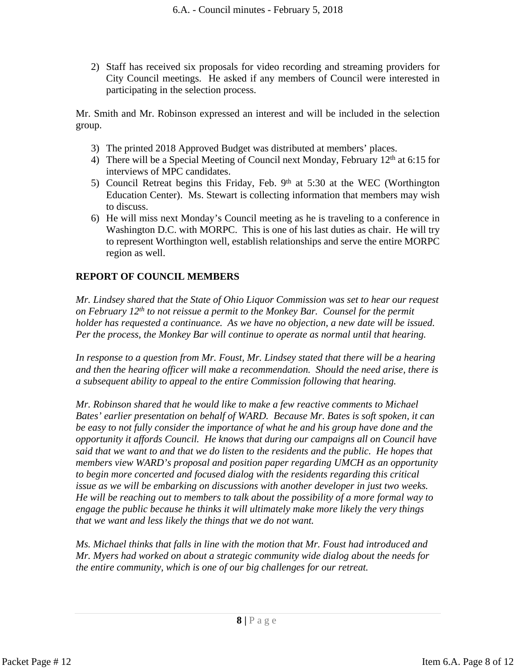2) Staff has received six proposals for video recording and streaming providers for City Council meetings. He asked if any members of Council were interested in participating in the selection process.

Mr. Smith and Mr. Robinson expressed an interest and will be included in the selection group.

- 3) The printed 2018 Approved Budget was distributed at members' places.
- 4) There will be a Special Meeting of Council next Monday, February  $12<sup>th</sup>$  at 6:15 for interviews of MPC candidates.
- 5) Council Retreat begins this Friday, Feb.  $9<sup>th</sup>$  at 5:30 at the WEC (Worthington Education Center). Ms. Stewart is collecting information that members may wish to discuss.
- 6) He will miss next Monday's Council meeting as he is traveling to a conference in Washington D.C. with MORPC. This is one of his last duties as chair. He will try to represent Worthington well, establish relationships and serve the entire MORPC region as well.

# **REPORT OF COUNCIL MEMBERS**

*Mr. Lindsey shared that the State of Ohio Liquor Commission was set to hear our request on February 12th to not reissue a permit to the Monkey Bar. Counsel for the permit holder has requested a continuance. As we have no objection, a new date will be issued. Per the process, the Monkey Bar will continue to operate as normal until that hearing.* 

*In response to a question from Mr. Foust, Mr. Lindsey stated that there will be a hearing and then the hearing officer will make a recommendation. Should the need arise, there is a subsequent ability to appeal to the entire Commission following that hearing.*

*Mr. Robinson shared that he would like to make a few reactive comments to Michael Bates' earlier presentation on behalf of WARD. Because Mr. Bates is soft spoken, it can be easy to not fully consider the importance of what he and his group have done and the opportunity it affords Council. He knows that during our campaigns all on Council have said that we want to and that we do listen to the residents and the public. He hopes that members view WARD's proposal and position paper regarding UMCH as an opportunity to begin more concerted and focused dialog with the residents regarding this critical issue as we will be embarking on discussions with another developer in just two weeks. He will be reaching out to members to talk about the possibility of a more formal way to engage the public because he thinks it will ultimately make more likely the very things that we want and less likely the things that we do not want.*

*Ms. Michael thinks that falls in line with the motion that Mr. Foust had introduced and Mr. Myers had worked on about a strategic community wide dialog about the needs for the entire community, which is one of our big challenges for our retreat.*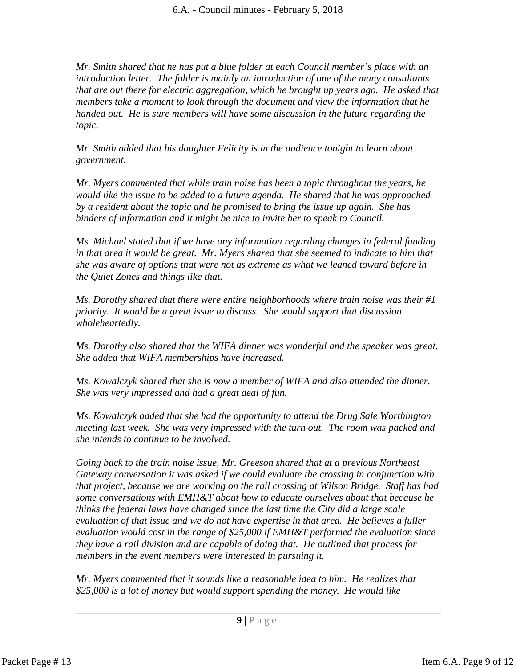*Mr. Smith shared that he has put a blue folder at each Council member's place with an introduction letter. The folder is mainly an introduction of one of the many consultants that are out there for electric aggregation, which he brought up years ago. He asked that members take a moment to look through the document and view the information that he handed out. He is sure members will have some discussion in the future regarding the topic.*

*Mr. Smith added that his daughter Felicity is in the audience tonight to learn about government.*

*Mr. Myers commented that while train noise has been a topic throughout the years, he would like the issue to be added to a future agenda. He shared that he was approached by a resident about the topic and he promised to bring the issue up again. She has binders of information and it might be nice to invite her to speak to Council.* 

*Ms. Michael stated that if we have any information regarding changes in federal funding in that area it would be great. Mr. Myers shared that she seemed to indicate to him that she was aware of options that were not as extreme as what we leaned toward before in the Quiet Zones and things like that.*

*Ms. Dorothy shared that there were entire neighborhoods where train noise was their #1 priority. It would be a great issue to discuss. She would support that discussion wholeheartedly.*

*Ms. Dorothy also shared that the WIFA dinner was wonderful and the speaker was great. She added that WIFA memberships have increased.*

*Ms. Kowalczyk shared that she is now a member of WIFA and also attended the dinner. She was very impressed and had a great deal of fun.* 

*Ms. Kowalczyk added that she had the opportunity to attend the Drug Safe Worthington meeting last week. She was very impressed with the turn out. The room was packed and she intends to continue to be involved.* 

*Going back to the train noise issue, Mr. Greeson shared that at a previous Northeast Gateway conversation it was asked if we could evaluate the crossing in conjunction with that project, because we are working on the rail crossing at Wilson Bridge. Staff has had some conversations with EMH&T about how to educate ourselves about that because he thinks the federal laws have changed since the last time the City did a large scale evaluation of that issue and we do not have expertise in that area. He believes a fuller evaluation would cost in the range of \$25,000 if EMH&T performed the evaluation since they have a rail division and are capable of doing that. He outlined that process for members in the event members were interested in pursuing it.*

*Mr. Myers commented that it sounds like a reasonable idea to him. He realizes that \$25,000 is a lot of money but would support spending the money. He would like*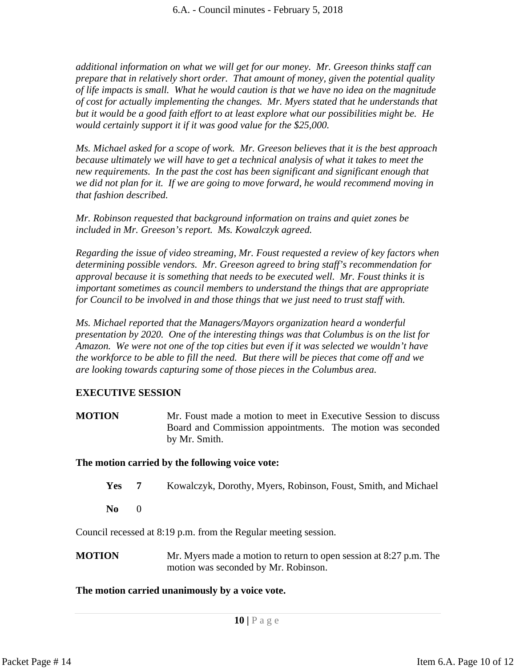*additional information on what we will get for our money. Mr. Greeson thinks staff can prepare that in relatively short order. That amount of money, given the potential quality of life impacts is small. What he would caution is that we have no idea on the magnitude of cost for actually implementing the changes. Mr. Myers stated that he understands that but it would be a good faith effort to at least explore what our possibilities might be. He would certainly support it if it was good value for the \$25,000.*

*Ms. Michael asked for a scope of work. Mr. Greeson believes that it is the best approach because ultimately we will have to get a technical analysis of what it takes to meet the new requirements. In the past the cost has been significant and significant enough that we did not plan for it. If we are going to move forward, he would recommend moving in that fashion described.* 

*Mr. Robinson requested that background information on trains and quiet zones be included in Mr. Greeson's report. Ms. Kowalczyk agreed.*

*Regarding the issue of video streaming, Mr. Foust requested a review of key factors when determining possible vendors. Mr. Greeson agreed to bring staff's recommendation for approval because it is something that needs to be executed well. Mr. Foust thinks it is important sometimes as council members to understand the things that are appropriate for Council to be involved in and those things that we just need to trust staff with.*

*Ms. Michael reported that the Managers/Mayors organization heard a wonderful presentation by 2020. One of the interesting things was that Columbus is on the list for Amazon. We were not one of the top cities but even if it was selected we wouldn't have the workforce to be able to fill the need. But there will be pieces that come off and we are looking towards capturing some of those pieces in the Columbus area.*

# **EXECUTIVE SESSION**

**MOTION** Mr. Foust made a motion to meet in Executive Session to discuss Board and Commission appointments. The motion was seconded by Mr. Smith.

# **The motion carried by the following voice vote:**

- **Yes 7** Kowalczyk, Dorothy, Myers, Robinson, Foust, Smith, and Michael
- **No** 0

Council recessed at 8:19 p.m. from the Regular meeting session.

**MOTION** Mr. Myers made a motion to return to open session at 8:27 p.m. The motion was seconded by Mr. Robinson.

# **The motion carried unanimously by a voice vote.**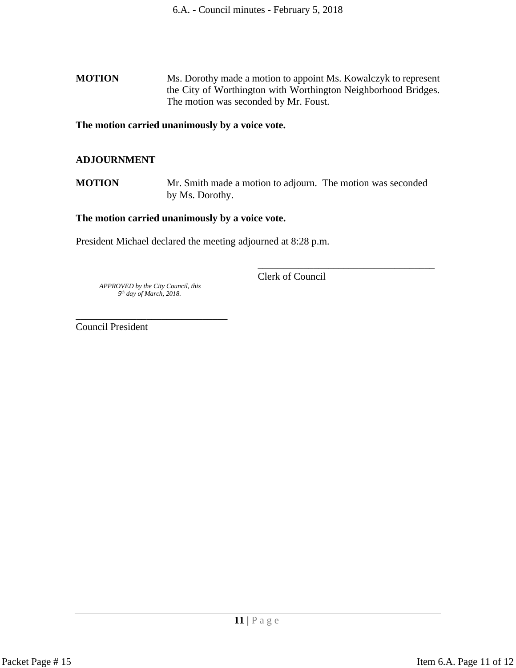**MOTION** Ms. Dorothy made a motion to appoint Ms. Kowalczyk to represent the City of Worthington with Worthington Neighborhood Bridges. The motion was seconded by Mr. Foust.

**The motion carried unanimously by a voice vote.**

#### **ADJOURNMENT**

**MOTION** Mr. Smith made a motion to adjourn. The motion was seconded by Ms. Dorothy.

#### **The motion carried unanimously by a voice vote.**

President Michael declared the meeting adjourned at 8:28 p.m.

 *APPROVED by the City Council, this 5th day of March, 2018.*

\_\_\_\_\_\_\_\_\_\_\_\_\_\_\_\_\_\_\_\_\_\_\_\_\_\_\_\_\_\_

Clerk of Council

\_\_\_\_\_\_\_\_\_\_\_\_\_\_\_\_\_\_\_\_\_\_\_\_\_\_\_\_\_\_\_\_\_\_\_

Council President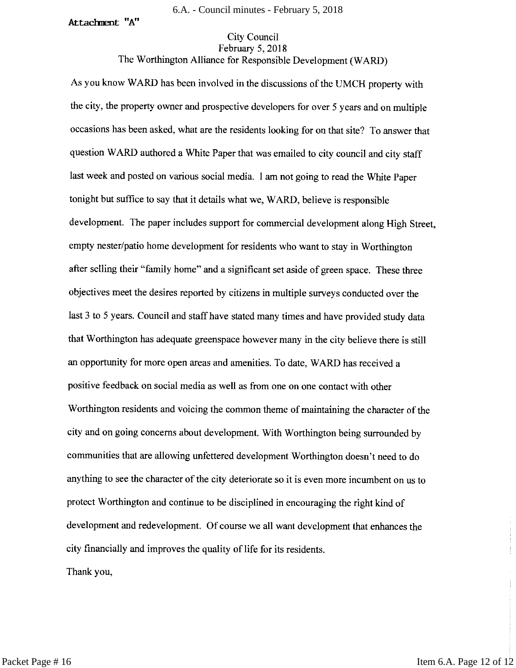#### Attachment "A"

#### **City Council** February 5, 2018

#### The Worthington Alliance for Responsible Development (WARD)

As you know WARD has been involved in the discussions of the UMCH property with the city, the property owner and prospective developers for over 5 years and on multiple occasions has been asked, what are the residents looking for on that site? To answer that question WARD authored a White Paper that was emailed to city council and city staff last week and posted on various social media. 1 am not going to read the White Paper tonight but suffice to say that it details what we, WARD, believe is responsible development. The paper includes support for commercial development along High Street, empty nester/patio home development for residents who want to stay in Worthington after selling their "family home" and a significant set aside of green space. These three objectives meet the desires reported by citizens in multiple surveys conducted over the last 3 to 5 years. Council and staff have stated many times and have provided study data that Worthington has adequate greenspace however many in the city believe there is still an opportunity for more open areas and amenities. To date, WARD has received a positive feedback on social media as well as from one on one contact with other Worthington residents and voicing the common theme of maintaining the character of the city and on going concerns about development. With Worthington being surrounded by communities that are allowing unfettered development Worthington doesn't need to do anything to see the character of the city deteriorate so it is even more incumbent on us to protect Worthington and continue to be disciplined in encouraging the right kind of development and redevelopment. Of course we all want development that enhances the city financially and improves the quality of life for its residents. Thank you,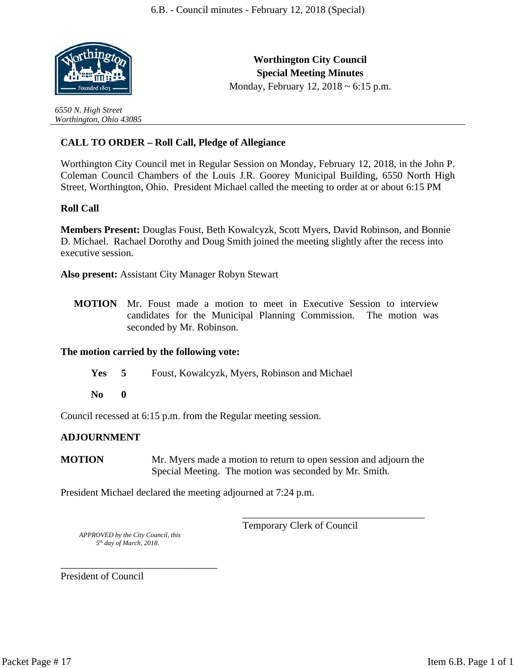

*6550 N. High Street Worthington, Ohio 43085*

**Worthington City Council Special Meeting Minutes** Monday, February 12, 2018 ~ 6:15 p.m.

# **CALL TO ORDER – Roll Call, Pledge of Allegiance**

Worthington City Council met in Regular Session on Monday, February 12, 2018, in the John P. Coleman Council Chambers of the Louis J.R. Goorey Municipal Building, 6550 North High Street, Worthington, Ohio. President Michael called the meeting to order at or about 6:15 PM

#### **Roll Call**

**Members Present:** Douglas Foust, Beth Kowalcyzk, Scott Myers, David Robinson, and Bonnie D. Michael. Rachael Dorothy and Doug Smith joined the meeting slightly after the recess into executive session.

**Also present:** Assistant City Manager Robyn Stewart

**MOTION** Mr. Foust made a motion to meet in Executive Session to interview candidates for the Municipal Planning Commission. The motion was seconded by Mr. Robinson.

#### **The motion carried by the following vote:**

- **Yes 5** Foust, Kowalcyzk, Myers, Robinson and Michael
- **No 0**

Council recessed at 6:15 p.m. from the Regular meeting session.

#### **ADJOURNMENT**

**MOTION** Mr. Myers made a motion to return to open session and adjourn the Special Meeting. The motion was seconded by Mr. Smith.

President Michael declared the meeting adjourned at 7:24 p.m.

Temporary Clerk of Council

\_\_\_\_\_\_\_\_\_\_\_\_\_\_\_\_\_\_\_\_\_\_\_\_\_\_\_\_\_\_\_\_\_\_\_\_

 *APPROVED by the City Council, this 5th day of March, 2018.*

\_\_\_\_\_\_\_\_\_\_\_\_\_\_\_\_\_\_\_\_\_\_\_\_\_\_\_\_\_\_\_ President of Council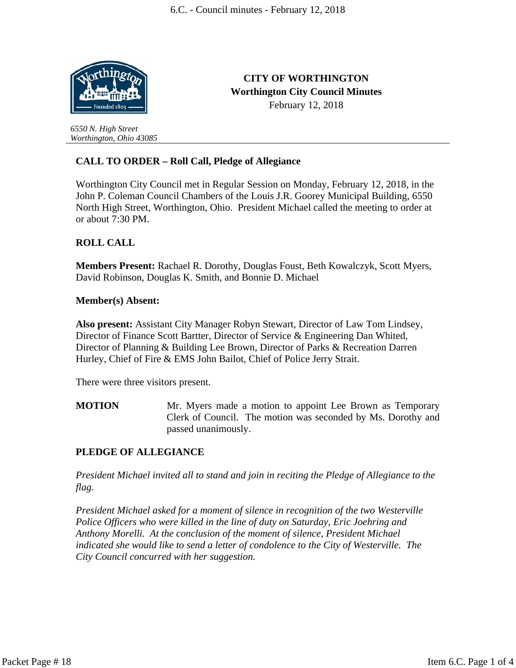**CITY OF WORTHINGTON Worthington City Council Minutes** February 12, 2018



*6550 N. High Street Worthington, Ohio 43085*

# **CALL TO ORDER – Roll Call, Pledge of Allegiance**

Worthington City Council met in Regular Session on Monday, February 12, 2018, in the John P. Coleman Council Chambers of the Louis J.R. Goorey Municipal Building, 6550 North High Street, Worthington, Ohio. President Michael called the meeting to order at or about 7:30 PM.

#### **ROLL CALL**

**Members Present:** Rachael R. Dorothy, Douglas Foust, Beth Kowalczyk, Scott Myers, David Robinson, Douglas K. Smith, and Bonnie D. Michael

#### **Member(s) Absent:**

**Also present:** Assistant City Manager Robyn Stewart, Director of Law Tom Lindsey, Director of Finance Scott Bartter, Director of Service & Engineering Dan Whited, Director of Planning & Building Lee Brown, Director of Parks & Recreation Darren Hurley, Chief of Fire & EMS John Bailot, Chief of Police Jerry Strait.

There were three visitors present.

**MOTION** Mr. Myers made a motion to appoint Lee Brown as Temporary Clerk of Council. The motion was seconded by Ms. Dorothy and passed unanimously.

# **PLEDGE OF ALLEGIANCE**

*President Michael invited all to stand and join in reciting the Pledge of Allegiance to the flag.*

*President Michael asked for a moment of silence in recognition of the two Westerville Police Officers who were killed in the line of duty on Saturday, Eric Joehring and Anthony Morelli. At the conclusion of the moment of silence, President Michael indicated she would like to send a letter of condolence to the City of Westerville. The City Council concurred with her suggestion.*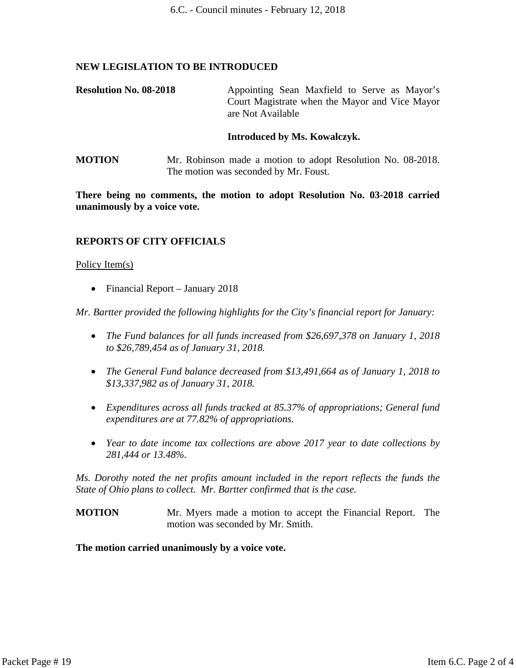#### **NEW LEGISLATION TO BE INTRODUCED**

**Resolution No. 08-2018** Appointing Sean Maxfield to Serve as Mayor's Court Magistrate when the Mayor and Vice Mayor are Not Available

#### **Introduced by Ms. Kowalczyk.**

**MOTION** Mr. Robinson made a motion to adopt Resolution No. 08-2018. The motion was seconded by Mr. Foust.

**There being no comments, the motion to adopt Resolution No. 03-2018 carried unanimously by a voice vote.**

#### **REPORTS OF CITY OFFICIALS**

#### Policy Item(s)

• Financial Report – January 2018

*Mr. Bartter provided the following highlights for the City's financial report for January:*

- *The Fund balances for all funds increased from \$26,697,378 on January 1, 2018 to \$26,789,454 as of January 31, 2018.*
- *The General Fund balance decreased from \$13,491,664 as of January 1, 2018 to \$13,337,982 as of January 31, 2018.*
- *Expenditures across all funds tracked at 85.37% of appropriations; General fund expenditures are at 77.82% of appropriations.*
- *Year to date income tax collections are above 2017 year to date collections by 281,444 or 13.48%.*

*Ms. Dorothy noted the net profits amount included in the report reflects the funds the State of Ohio plans to collect. Mr. Bartter confirmed that is the case.*

**MOTION** Mr. Myers made a motion to accept the Financial Report. The motion was seconded by Mr. Smith.

**The motion carried unanimously by a voice vote.**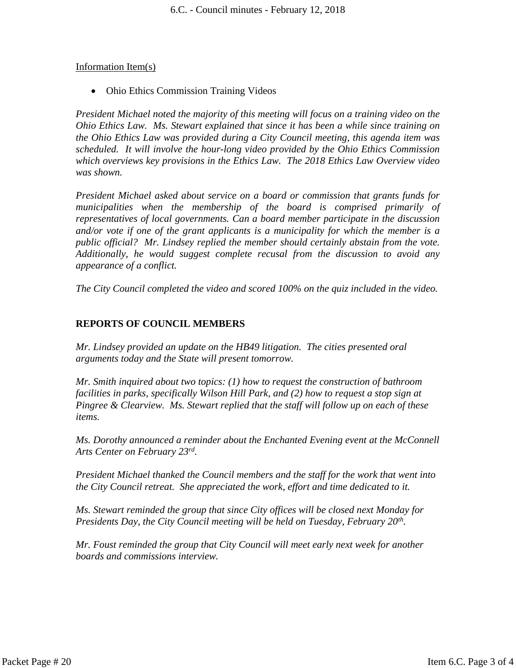#### Information Item(s)

• Ohio Ethics Commission Training Videos

*President Michael noted the majority of this meeting will focus on a training video on the Ohio Ethics Law. Ms. Stewart explained that since it has been a while since training on the Ohio Ethics Law was provided during a City Council meeting, this agenda item was scheduled. It will involve the hour-long video provided by the Ohio Ethics Commission which overviews key provisions in the Ethics Law. The 2018 Ethics Law Overview video was shown.* 

*President Michael asked about service on a board or commission that grants funds for municipalities when the membership of the board is comprised primarily of representatives of local governments. Can a board member participate in the discussion and/or vote if one of the grant applicants is a municipality for which the member is a public official? Mr. Lindsey replied the member should certainly abstain from the vote. Additionally, he would suggest complete recusal from the discussion to avoid any appearance of a conflict.*

*The City Council completed the video and scored 100% on the quiz included in the video.*

# **REPORTS OF COUNCIL MEMBERS**

*Mr. Lindsey provided an update on the HB49 litigation. The cities presented oral arguments today and the State will present tomorrow.*

*Mr. Smith inquired about two topics: (1) how to request the construction of bathroom facilities in parks, specifically Wilson Hill Park, and (2) how to request a stop sign at Pingree & Clearview. Ms. Stewart replied that the staff will follow up on each of these items.*

*Ms. Dorothy announced a reminder about the Enchanted Evening event at the McConnell Arts Center on February 23rd .* 

*President Michael thanked the Council members and the staff for the work that went into the City Council retreat. She appreciated the work, effort and time dedicated to it.*

*Ms. Stewart reminded the group that since City offices will be closed next Monday for Presidents Day, the City Council meeting will be held on Tuesday, February 20th .* 

*Mr. Foust reminded the group that City Council will meet early next week for another boards and commissions interview.*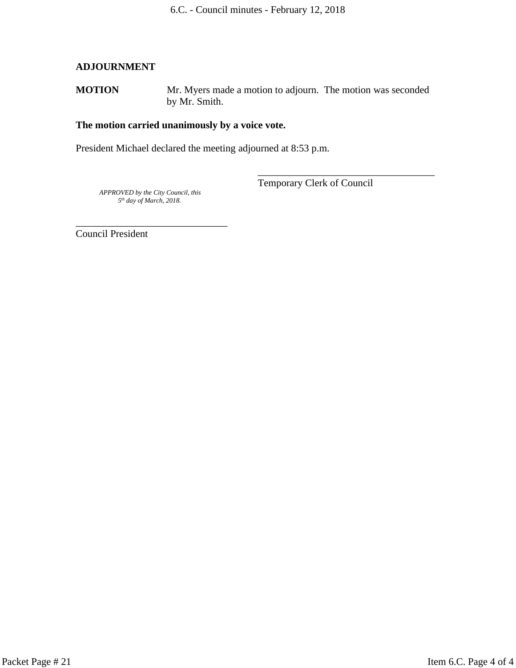#### **ADJOURNMENT**

**MOTION** Mr. Myers made a motion to adjourn. The motion was seconded by Mr. Smith.

#### **The motion carried unanimously by a voice vote.**

President Michael declared the meeting adjourned at 8:53 p.m.

 *APPROVED by the City Council, this 5th day of March, 2018.*

\_\_\_\_\_\_\_\_\_\_\_\_\_\_\_\_\_\_\_\_\_\_\_\_\_\_\_\_\_\_

Temporary Clerk of Council

\_\_\_\_\_\_\_\_\_\_\_\_\_\_\_\_\_\_\_\_\_\_\_\_\_\_\_\_\_\_\_\_\_\_\_

Council President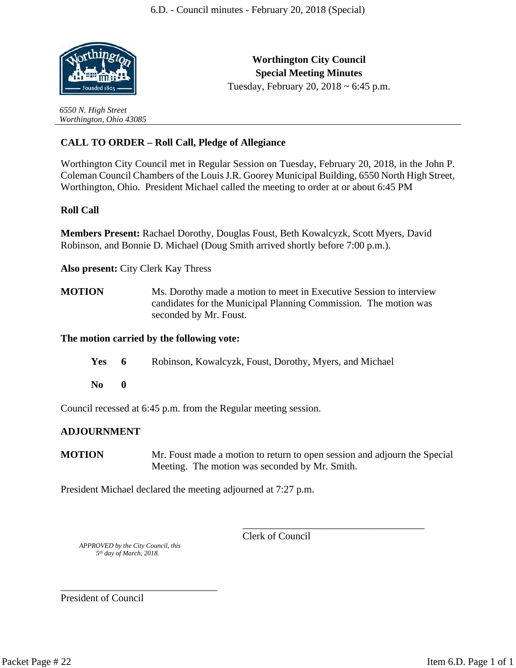

*6550 N. High Street Worthington, Ohio 43085*

**Worthington City Council Special Meeting Minutes** Tuesday, February 20, 2018 ~ 6:45 p.m.

**CALL TO ORDER – Roll Call, Pledge of Allegiance**

Worthington City Council met in Regular Session on Tuesday, February 20, 2018, in the John P. Coleman Council Chambers of the Louis J.R. Goorey Municipal Building, 6550 North High Street, Worthington, Ohio. President Michael called the meeting to order at or about 6:45 PM

#### **Roll Call**

**Members Present:** Rachael Dorothy, Douglas Foust, Beth Kowalcyzk, Scott Myers, David Robinson, and Bonnie D. Michael (Doug Smith arrived shortly before 7:00 p.m.).

**Also present:** City Clerk Kay Thress

**MOTION** Ms. Dorothy made a motion to meet in Executive Session to interview candidates for the Municipal Planning Commission. The motion was seconded by Mr. Foust.

#### **The motion carried by the following vote:**

- Yes 6 Robinson, Kowalcyzk, Foust, Dorothy, Myers, and Michael
- **No 0**

Council recessed at 6:45 p.m. from the Regular meeting session.

#### **ADJOURNMENT**

**MOTION** Mr. Foust made a motion to return to open session and adjourn the Special Meeting. The motion was seconded by Mr. Smith.

President Michael declared the meeting adjourned at 7:27 p.m.

Clerk of Council

\_\_\_\_\_\_\_\_\_\_\_\_\_\_\_\_\_\_\_\_\_\_\_\_\_\_\_\_\_\_\_\_\_\_\_\_

 *APPROVED by the City Council, this 5th day of March, 2018.*

\_\_\_\_\_\_\_\_\_\_\_\_\_\_\_\_\_\_\_\_\_\_\_\_\_\_\_\_\_\_\_

President of Council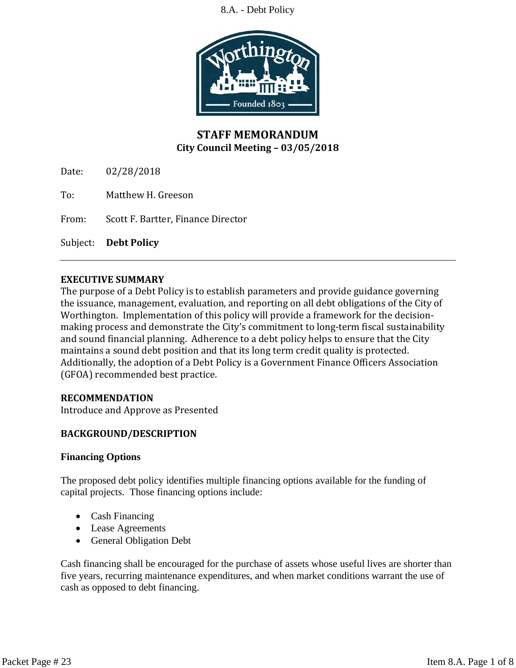

# **STAFF MEMORANDUM City Council Meeting – 03/05/2018**

Date: 02/28/2018

To: Matthew H. Greeson

From: Scott F. Bartter, Finance Director

Subject: **Debt Policy**

#### **EXECUTIVE SUMMARY**

The purpose of a Debt Policy is to establish parameters and provide guidance governing the issuance, management, evaluation, and reporting on all debt obligations of the City of Worthington. Implementation of this policy will provide a framework for the decisionmaking process and demonstrate the City's commitment to long-term fiscal sustainability and sound financial planning. Adherence to a debt policy helps to ensure that the City maintains a sound debt position and that its long term credit quality is protected. Additionally, the adoption of a Debt Policy is a Government Finance Officers Association (GFOA) recommended best practice.

#### **RECOMMENDATION**

Introduce and Approve as Presented

# **BACKGROUND/DESCRIPTION**

#### **Financing Options**

The proposed debt policy identifies multiple financing options available for the funding of capital projects. Those financing options include:

- Cash Financing
- Lease Agreements
- General Obligation Debt

Cash financing shall be encouraged for the purchase of assets whose useful lives are shorter than five years, recurring maintenance expenditures, and when market conditions warrant the use of cash as opposed to debt financing.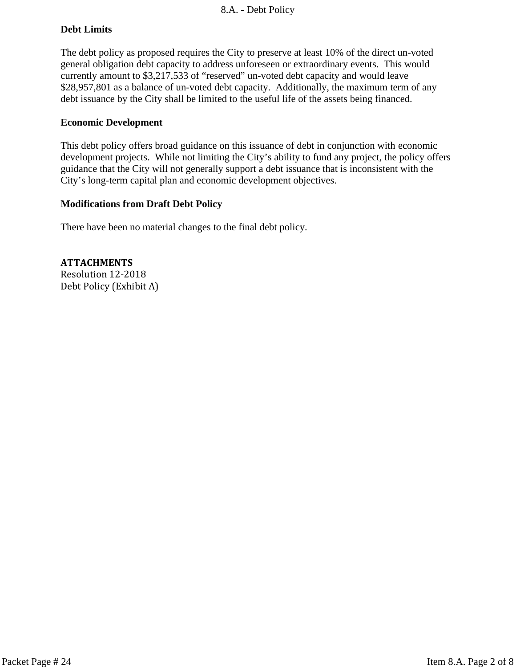# **Debt Limits**

The debt policy as proposed requires the City to preserve at least 10% of the direct un-voted general obligation debt capacity to address unforeseen or extraordinary events. This would currently amount to \$3,217,533 of "reserved" un-voted debt capacity and would leave \$28,957,801 as a balance of un-voted debt capacity. Additionally, the maximum term of any debt issuance by the City shall be limited to the useful life of the assets being financed.

# **Economic Development**

This debt policy offers broad guidance on this issuance of debt in conjunction with economic development projects. While not limiting the City's ability to fund any project, the policy offers guidance that the City will not generally support a debt issuance that is inconsistent with the City's long-term capital plan and economic development objectives.

#### **Modifications from Draft Debt Policy**

There have been no material changes to the final debt policy.

**ATTACHMENTS** Resolution 12-2018 Debt Policy (Exhibit A)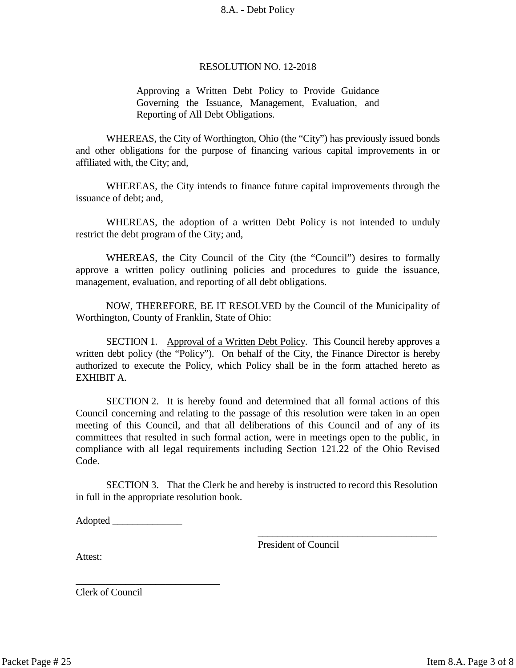#### RESOLUTION NO. 12-2018

Approving a Written Debt Policy to Provide Guidance Governing the Issuance, Management, Evaluation, and Reporting of All Debt Obligations.

WHEREAS, the City of Worthington, Ohio (the "City") has previously issued bonds and other obligations for the purpose of financing various capital improvements in or affiliated with, the City; and,

WHEREAS, the City intends to finance future capital improvements through the issuance of debt; and,

WHEREAS, the adoption of a written Debt Policy is not intended to unduly restrict the debt program of the City; and,

WHEREAS, the City Council of the City (the "Council") desires to formally approve a written policy outlining policies and procedures to guide the issuance, management, evaluation, and reporting of all debt obligations.

NOW, THEREFORE, BE IT RESOLVED by the Council of the Municipality of Worthington, County of Franklin, State of Ohio:

SECTION 1. Approval of a Written Debt Policy. This Council hereby approves a written debt policy (the "Policy"). On behalf of the City, the Finance Director is hereby authorized to execute the Policy, which Policy shall be in the form attached hereto as EXHIBIT A.

SECTION 2. It is hereby found and determined that all formal actions of this Council concerning and relating to the passage of this resolution were taken in an open meeting of this Council, and that all deliberations of this Council and of any of its committees that resulted in such formal action, were in meetings open to the public, in compliance with all legal requirements including Section 121.22 of the Ohio Revised Code.

SECTION 3. That the Clerk be and hereby is instructed to record this Resolution in full in the appropriate resolution book.

Adopted  $\Box$ 

\_\_\_\_\_\_\_\_\_\_\_\_\_\_\_\_\_\_\_\_\_\_\_\_\_\_\_\_\_

President of Council

\_\_\_\_\_\_\_\_\_\_\_\_\_\_\_\_\_\_\_\_\_\_\_\_\_\_\_\_\_\_\_\_\_\_\_\_

Attest:

Clerk of Council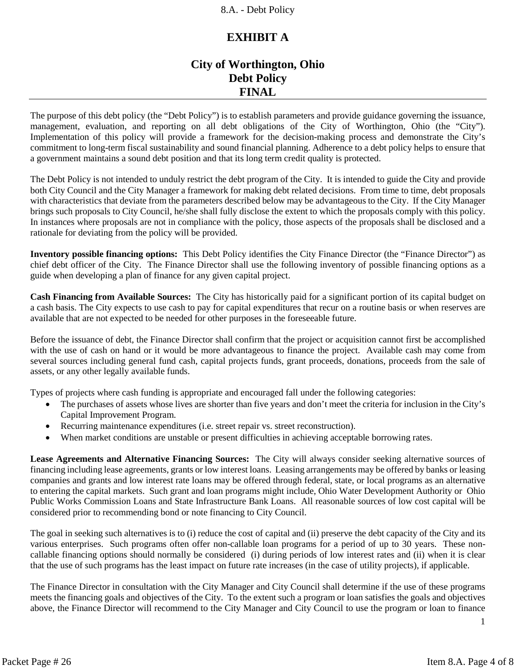# **EXHIBIT A**

# **City of Worthington, Ohio Debt Policy FINAL**

The purpose of this debt policy (the "Debt Policy") is to establish parameters and provide guidance governing the issuance, management, evaluation, and reporting on all debt obligations of the City of Worthington, Ohio (the "City"). Implementation of this policy will provide a framework for the decision-making process and demonstrate the City's commitment to long-term fiscal sustainability and sound financial planning. Adherence to a debt policy helps to ensure that a government maintains a sound debt position and that its long term credit quality is protected.

The Debt Policy is not intended to unduly restrict the debt program of the City. It is intended to guide the City and provide both City Council and the City Manager a framework for making debt related decisions. From time to time, debt proposals with characteristics that deviate from the parameters described below may be advantageous to the City. If the City Manager brings such proposals to City Council, he/she shall fully disclose the extent to which the proposals comply with this policy. In instances where proposals are not in compliance with the policy, those aspects of the proposals shall be disclosed and a rationale for deviating from the policy will be provided.

**Inventory possible financing options:** This Debt Policy identifies the City Finance Director (the "Finance Director") as chief debt officer of the City. The Finance Director shall use the following inventory of possible financing options as a guide when developing a plan of finance for any given capital project.

**Cash Financing from Available Sources:** The City has historically paid for a significant portion of its capital budget on a cash basis. The City expects to use cash to pay for capital expenditures that recur on a routine basis or when reserves are available that are not expected to be needed for other purposes in the foreseeable future.

Before the issuance of debt, the Finance Director shall confirm that the project or acquisition cannot first be accomplished with the use of cash on hand or it would be more advantageous to finance the project. Available cash may come from several sources including general fund cash, capital projects funds, grant proceeds, donations, proceeds from the sale of assets, or any other legally available funds.

Types of projects where cash funding is appropriate and encouraged fall under the following categories:

- The purchases of assets whose lives are shorter than five years and don't meet the criteria for inclusion in the City's Capital Improvement Program.
- Recurring maintenance expenditures (i.e. street repair vs. street reconstruction).
- When market conditions are unstable or present difficulties in achieving acceptable borrowing rates.

**Lease Agreements and Alternative Financing Sources:** The City will always consider seeking alternative sources of financing including lease agreements, grants or low interest loans. Leasing arrangements may be offered by banks or leasing companies and grants and low interest rate loans may be offered through federal, state, or local programs as an alternative to entering the capital markets. Such grant and loan programs might include, Ohio Water Development Authority or Ohio Public Works Commission Loans and State Infrastructure Bank Loans. All reasonable sources of low cost capital will be considered prior to recommending bond or note financing to City Council.

The goal in seeking such alternatives is to (i) reduce the cost of capital and (ii) preserve the debt capacity of the City and its various enterprises. Such programs often offer non-callable loan programs for a period of up to 30 years. These noncallable financing options should normally be considered (i) during periods of low interest rates and (ii) when it is clear that the use of such programs has the least impact on future rate increases (in the case of utility projects), if applicable.

The Finance Director in consultation with the City Manager and City Council shall determine if the use of these programs meets the financing goals and objectives of the City. To the extent such a program or loan satisfies the goals and objectives above, the Finance Director will recommend to the City Manager and City Council to use the program or loan to finance

1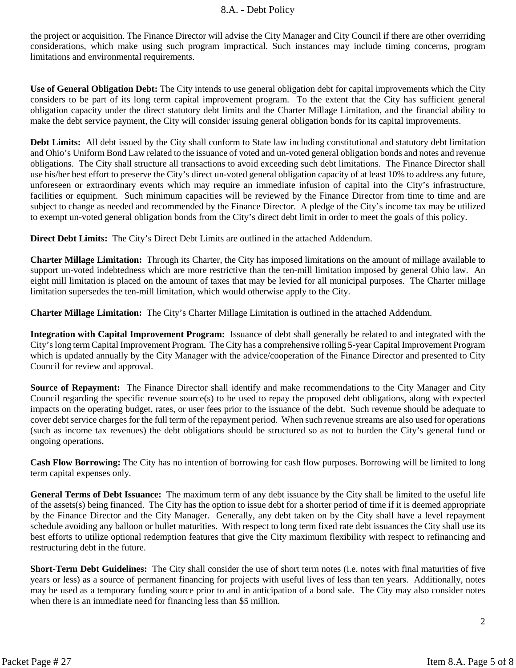the project or acquisition. The Finance Director will advise the City Manager and City Council if there are other overriding considerations, which make using such program impractical. Such instances may include timing concerns, program limitations and environmental requirements.

**Use of General Obligation Debt:** The City intends to use general obligation debt for capital improvements which the City considers to be part of its long term capital improvement program. To the extent that the City has sufficient general obligation capacity under the direct statutory debt limits and the Charter Millage Limitation, and the financial ability to make the debt service payment, the City will consider issuing general obligation bonds for its capital improvements.

**Debt Limits:** All debt issued by the City shall conform to State law including constitutional and statutory debt limitation and Ohio's Uniform Bond Law related to the issuance of voted and un-voted general obligation bonds and notes and revenue obligations. The City shall structure all transactions to avoid exceeding such debt limitations. The Finance Director shall use his/her best effort to preserve the City's direct un-voted general obligation capacity of at least 10% to address any future, unforeseen or extraordinary events which may require an immediate infusion of capital into the City's infrastructure, facilities or equipment. Such minimum capacities will be reviewed by the Finance Director from time to time and are subject to change as needed and recommended by the Finance Director. A pledge of the City's income tax may be utilized to exempt un-voted general obligation bonds from the City's direct debt limit in order to meet the goals of this policy.

**Direct Debt Limits:** The City's Direct Debt Limits are outlined in the attached Addendum.

**Charter Millage Limitation:** Through its Charter, the City has imposed limitations on the amount of millage available to support un-voted indebtedness which are more restrictive than the ten-mill limitation imposed by general Ohio law. An eight mill limitation is placed on the amount of taxes that may be levied for all municipal purposes. The Charter millage limitation supersedes the ten-mill limitation, which would otherwise apply to the City.

**Charter Millage Limitation:** The City's Charter Millage Limitation is outlined in the attached Addendum.

**Integration with Capital Improvement Program:** Issuance of debt shall generally be related to and integrated with the City's long term Capital Improvement Program. The City has a comprehensive rolling 5-year Capital Improvement Program which is updated annually by the City Manager with the advice/cooperation of the Finance Director and presented to City Council for review and approval.

**Source of Repayment:** The Finance Director shall identify and make recommendations to the City Manager and City Council regarding the specific revenue source(s) to be used to repay the proposed debt obligations, along with expected impacts on the operating budget, rates, or user fees prior to the issuance of the debt. Such revenue should be adequate to cover debt service charges for the full term of the repayment period. When such revenue streams are also used for operations (such as income tax revenues) the debt obligations should be structured so as not to burden the City's general fund or ongoing operations.

**Cash Flow Borrowing:** The City has no intention of borrowing for cash flow purposes. Borrowing will be limited to long term capital expenses only.

**General Terms of Debt Issuance:** The maximum term of any debt issuance by the City shall be limited to the useful life of the assets(s) being financed. The City has the option to issue debt for a shorter period of time if it is deemed appropriate by the Finance Director and the City Manager. Generally, any debt taken on by the City shall have a level repayment schedule avoiding any balloon or bullet maturities. With respect to long term fixed rate debt issuances the City shall use its best efforts to utilize optional redemption features that give the City maximum flexibility with respect to refinancing and restructuring debt in the future.

**Short-Term Debt Guidelines:** The City shall consider the use of short term notes (i.e. notes with final maturities of five years or less) as a source of permanent financing for projects with useful lives of less than ten years. Additionally, notes may be used as a temporary funding source prior to and in anticipation of a bond sale. The City may also consider notes when there is an immediate need for financing less than \$5 million.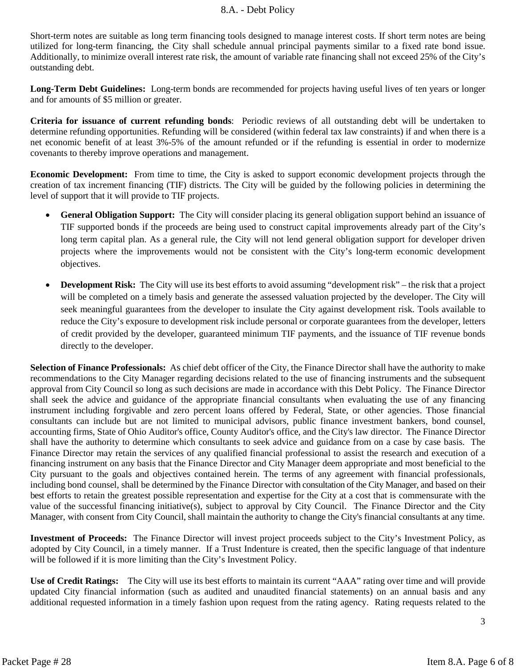Short-term notes are suitable as long term financing tools designed to manage interest costs. If short term notes are being utilized for long-term financing, the City shall schedule annual principal payments similar to a fixed rate bond issue. Additionally, to minimize overall interest rate risk, the amount of variable rate financing shall not exceed 25% of the City's outstanding debt.

**Long-Term Debt Guidelines:** Long-term bonds are recommended for projects having useful lives of ten years or longer and for amounts of \$5 million or greater.

**Criteria for issuance of current refunding bonds**: Periodic reviews of all outstanding debt will be undertaken to determine refunding opportunities. Refunding will be considered (within federal tax law constraints) if and when there is a net economic benefit of at least 3%-5% of the amount refunded or if the refunding is essential in order to modernize covenants to thereby improve operations and management.

**Economic Development:**From time to time, the City is asked to support economic development projects through the creation of tax increment financing (TIF) districts. The City will be guided by the following policies in determining the level of support that it will provide to TIF projects.

- **General Obligation Support:** The City will consider placing its general obligation support behind an issuance of TIF supported bonds if the proceeds are being used to construct capital improvements already part of the City's long term capital plan. As a general rule, the City will not lend general obligation support for developer driven projects where the improvements would not be consistent with the City's long-term economic development objectives.
- **Development Risk:** The City will use its best efforts to avoid assuming "development risk" the risk that a project will be completed on a timely basis and generate the assessed valuation projected by the developer. The City will seek meaningful guarantees from the developer to insulate the City against development risk. Tools available to reduce the City's exposure to development risk include personal or corporate guarantees from the developer, letters of credit provided by the developer, guaranteed minimum TIF payments, and the issuance of TIF revenue bonds directly to the developer.

**Selection of Finance Professionals:** As chief debt officer of the City, the Finance Director shall have the authority to make recommendations to the City Manager regarding decisions related to the use of financing instruments and the subsequent approval from City Council so long as such decisions are made in accordance with this Debt Policy. The Finance Director shall seek the advice and guidance of the appropriate financial consultants when evaluating the use of any financing instrument including forgivable and zero percent loans offered by Federal, State, or other agencies. Those financial consultants can include but are not limited to municipal advisors, public finance investment bankers, bond counsel, accounting firms, State of Ohio Auditor's office, County Auditor's office, and the City's law director. The Finance Director shall have the authority to determine which consultants to seek advice and guidance from on a case by case basis. The Finance Director may retain the services of any qualified financial professional to assist the research and execution of a financing instrument on any basis that the Finance Director and City Manager deem appropriate and most beneficial to the City pursuant to the goals and objectives contained herein. The terms of any agreement with financial professionals, including bond counsel, shall be determined by the Finance Director with consultation of the City Manager, and based on their best efforts to retain the greatest possible representation and expertise for the City at a cost that is commensurate with the value of the successful financing initiative(s), subject to approval by City Council. The Finance Director and the City Manager, with consent from City Council, shall maintain the authority to change the City's financial consultants at any time.

**Investment of Proceeds:** The Finance Director will invest project proceeds subject to the City's Investment Policy, as adopted by City Council, in a timely manner. If a Trust Indenture is created, then the specific language of that indenture will be followed if it is more limiting than the City's Investment Policy.

**Use of Credit Ratings:** The City will use its best efforts to maintain its current "AAA" rating over time and will provide updated City financial information (such as audited and unaudited financial statements) on an annual basis and any additional requested information in a timely fashion upon request from the rating agency. Rating requests related to the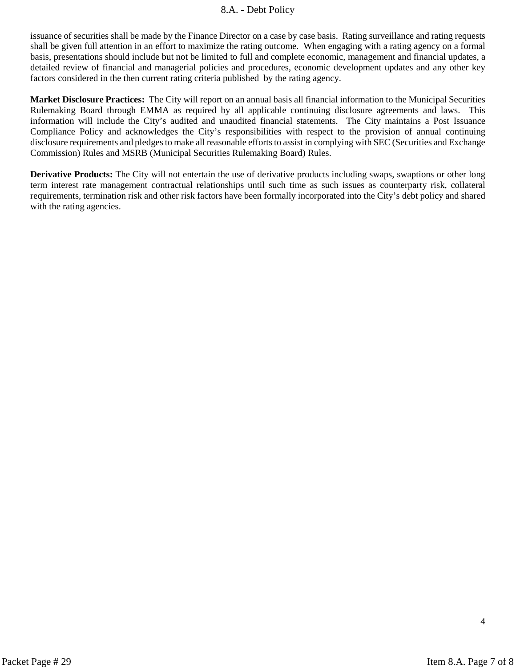issuance of securities shall be made by the Finance Director on a case by case basis. Rating surveillance and rating requests shall be given full attention in an effort to maximize the rating outcome. When engaging with a rating agency on a formal basis, presentations should include but not be limited to full and complete economic, management and financial updates, a detailed review of financial and managerial policies and procedures, economic development updates and any other key factors considered in the then current rating criteria published by the rating agency.

**Market Disclosure Practices:** The City will report on an annual basis all financial information to the Municipal Securities Rulemaking Board through EMMA as required by all applicable continuing disclosure agreements and laws. This information will include the City's audited and unaudited financial statements. The City maintains a Post Issuance Compliance Policy and acknowledges the City's responsibilities with respect to the provision of annual continuing disclosure requirements and pledges to make all reasonable efforts to assist in complying with SEC (Securities and Exchange Commission) Rules and MSRB (Municipal Securities Rulemaking Board) Rules.

**Derivative Products:** The City will not entertain the use of derivative products including swaps, swaptions or other long term interest rate management contractual relationships until such time as such issues as counterparty risk, collateral requirements, termination risk and other risk factors have been formally incorporated into the City's debt policy and shared with the rating agencies.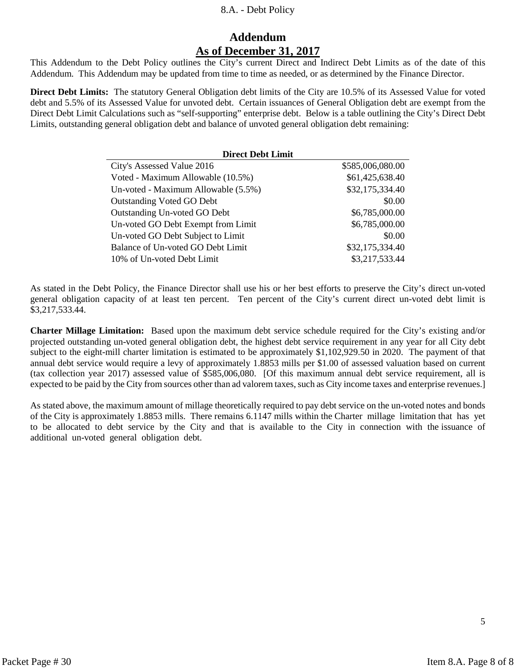# **Addendum As of December 31, 2017**

This Addendum to the Debt Policy outlines the City's current Direct and Indirect Debt Limits as of the date of this Addendum. This Addendum may be updated from time to time as needed, or as determined by the Finance Director.

**Direct Debt Limits:** The statutory General Obligation debt limits of the City are 10.5% of its Assessed Value for voted debt and 5.5% of its Assessed Value for unvoted debt. Certain issuances of General Obligation debt are exempt from the Direct Debt Limit Calculations such as "self-supporting" enterprise debt. Below is a table outlining the City's Direct Debt Limits, outstanding general obligation debt and balance of unvoted general obligation debt remaining:

| <b>Direct Debt Limit</b>            |                  |  |
|-------------------------------------|------------------|--|
| City's Assessed Value 2016          | \$585,006,080.00 |  |
| Voted - Maximum Allowable (10.5%)   | \$61,425,638.40  |  |
| Un-voted - Maximum Allowable (5.5%) | \$32,175,334.40  |  |
| <b>Outstanding Voted GO Debt</b>    | \$0.00           |  |
| Outstanding Un-voted GO Debt        | \$6,785,000.00   |  |
| Un-voted GO Debt Exempt from Limit  | \$6,785,000.00   |  |
| Un-voted GO Debt Subject to Limit   | \$0.00           |  |
| Balance of Un-voted GO Debt Limit   | \$32,175,334.40  |  |
| 10% of Un-voted Debt Limit          | \$3,217,533.44   |  |
|                                     |                  |  |

As stated in the Debt Policy, the Finance Director shall use his or her best efforts to preserve the City's direct un-voted general obligation capacity of at least ten percent. Ten percent of the City's current direct un-voted debt limit is \$3,217,533.44.

**Charter Millage Limitation:** Based upon the maximum debt service schedule required for the City's existing and/or projected outstanding un-voted general obligation debt, the highest debt service requirement in any year for all City debt subject to the eight-mill charter limitation is estimated to be approximately \$1,102,929.50 in 2020. The payment of that annual debt service would require a levy of approximately 1.8853 mills per \$1.00 of assessed valuation based on current (tax collection year 2017) assessed value of \$585,006,080. [Of this maximum annual debt service requirement, all is expected to be paid by the City from sources other than ad valorem taxes, such as City income taxes and enterprise revenues.]

As stated above, the maximum amount of millage theoretically required to pay debt service on the un-voted notes and bonds of the City is approximately 1.8853 mills. There remains 6.1147 mills within the Charter millage limitation that has yet to be allocated to debt service by the City and that is available to the City in connection with the issuance of additional un-voted general obligation debt.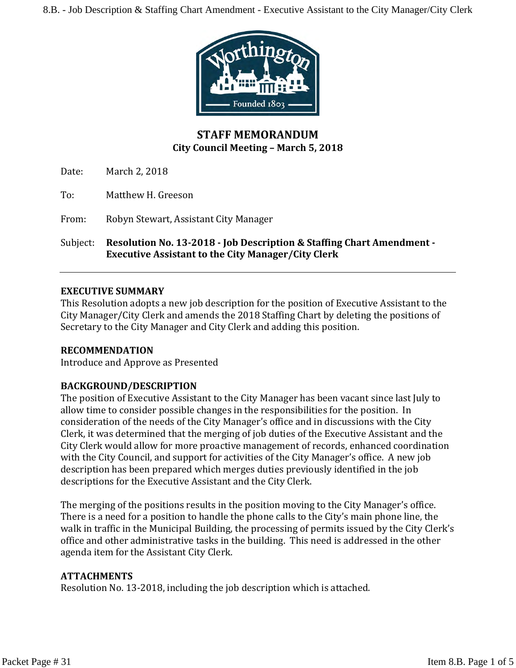

# **STAFF MEMORANDUM City Council Meeting – March 5, 2018**

Date: March 2, 2018

To: Matthew H. Greeson

From: Robyn Stewart, Assistant City Manager

Subject: **Resolution No. 13-2018 - Job Description & Staffing Chart Amendment - Executive Assistant to the City Manager/City Clerk**

#### **EXECUTIVE SUMMARY**

This Resolution adopts a new job description for the position of Executive Assistant to the City Manager/City Clerk and amends the 2018 Staffing Chart by deleting the positions of Secretary to the City Manager and City Clerk and adding this position.

#### **RECOMMENDATION**

Introduce and Approve as Presented

# **BACKGROUND/DESCRIPTION**

The position of Executive Assistant to the City Manager has been vacant since last July to allow time to consider possible changes in the responsibilities for the position. In consideration of the needs of the City Manager's office and in discussions with the City Clerk, it was determined that the merging of job duties of the Executive Assistant and the City Clerk would allow for more proactive management of records, enhanced coordination with the City Council, and support for activities of the City Manager's office. A new job description has been prepared which merges duties previously identified in the job descriptions for the Executive Assistant and the City Clerk.

The merging of the positions results in the position moving to the City Manager's office. There is a need for a position to handle the phone calls to the City's main phone line, the walk in traffic in the Municipal Building, the processing of permits issued by the City Clerk's office and other administrative tasks in the building. This need is addressed in the other agenda item for the Assistant City Clerk.

#### **ATTACHMENTS**

Resolution No. 13-2018, including the job description which is attached.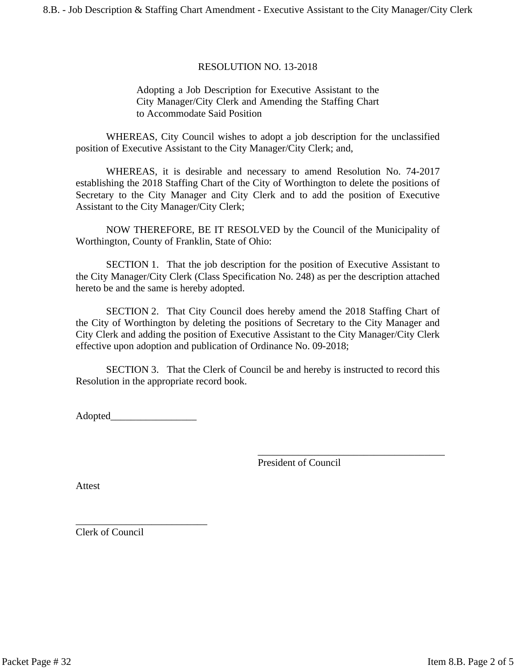#### RESOLUTION NO. 13-2018

#### Adopting a Job Description for Executive Assistant to the City Manager/City Clerk and Amending the Staffing Chart to Accommodate Said Position

WHEREAS, City Council wishes to adopt a job description for the unclassified position of Executive Assistant to the City Manager/City Clerk; and,

WHEREAS, it is desirable and necessary to amend Resolution No. 74-2017 establishing the 2018 Staffing Chart of the City of Worthington to delete the positions of Secretary to the City Manager and City Clerk and to add the position of Executive Assistant to the City Manager/City Clerk;

NOW THEREFORE, BE IT RESOLVED by the Council of the Municipality of Worthington, County of Franklin, State of Ohio:

SECTION 1. That the job description for the position of Executive Assistant to the City Manager/City Clerk (Class Specification No. 248) as per the description attached hereto be and the same is hereby adopted.

SECTION 2. That City Council does hereby amend the 2018 Staffing Chart of the City of Worthington by deleting the positions of Secretary to the City Manager and City Clerk and adding the position of Executive Assistant to the City Manager/City Clerk effective upon adoption and publication of Ordinance No. 09-2018;

SECTION 3. That the Clerk of Council be and hereby is instructed to record this Resolution in the appropriate record book.

Adopted\_\_\_\_\_\_\_\_\_\_\_\_\_\_\_\_\_

\_\_\_\_\_\_\_\_\_\_\_\_\_\_\_\_\_\_\_\_\_\_\_\_\_\_

\_\_\_\_\_\_\_\_\_\_\_\_\_\_\_\_\_\_\_\_\_\_\_\_\_\_\_\_\_\_\_\_\_\_\_\_\_ President of Council

Attest

Clerk of Council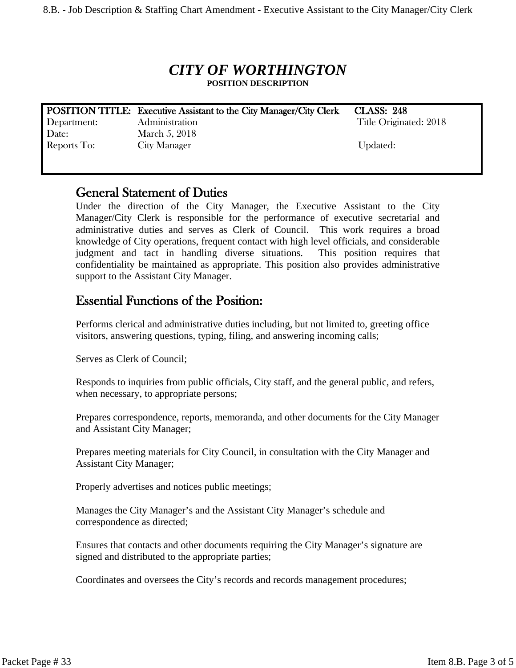# *CITY OF WORTHINGTON* **POSITION DESCRIPTION**

**POSITION TITLE: Executive Assistant to the City Manager/City Clerk CLASS: 248** Department: Administration Title Originated: 2018 Date: March 5, 2018 Reports To: City Manager Updated:

# **General Statement of Duties**

Under the direction of the City Manager, the Executive Assistant to the City Manager/City Clerk is responsible for the performance of executive secretarial and administrative duties and serves as Clerk of Council. This work requires a broad knowledge of City operations, frequent contact with high level officials, and considerable judgment and tact in handling diverse situations. This position requires that confidentiality be maintained as appropriate. This position also provides administrative support to the Assistant City Manager.

# **Essential Functions of the Position:**

Performs clerical and administrative duties including, but not limited to, greeting office visitors, answering questions, typing, filing, and answering incoming calls;

Serves as Clerk of Council;

Responds to inquiries from public officials, City staff, and the general public, and refers, when necessary, to appropriate persons;

Prepares correspondence, reports, memoranda, and other documents for the City Manager and Assistant City Manager;

Prepares meeting materials for City Council, in consultation with the City Manager and Assistant City Manager;

Properly advertises and notices public meetings;

Manages the City Manager's and the Assistant City Manager's schedule and correspondence as directed;

Ensures that contacts and other documents requiring the City Manager's signature are signed and distributed to the appropriate parties;

Coordinates and oversees the City's records and records management procedures;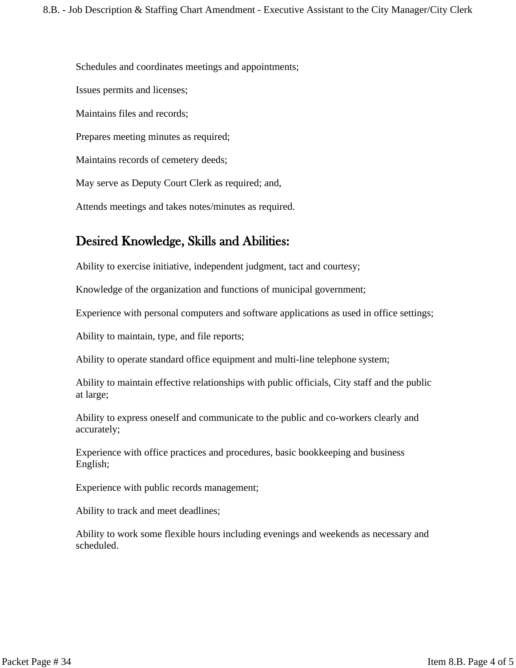Schedules and coordinates meetings and appointments; Issues permits and licenses; Maintains files and records; Prepares meeting minutes as required; Maintains records of cemetery deeds; May serve as Deputy Court Clerk as required; and, Attends meetings and takes notes/minutes as required.

# **Desired Knowledge, Skills and Abilities:**

Ability to exercise initiative, independent judgment, tact and courtesy;

Knowledge of the organization and functions of municipal government;

Experience with personal computers and software applications as used in office settings;

Ability to maintain, type, and file reports;

Ability to operate standard office equipment and multi-line telephone system;

Ability to maintain effective relationships with public officials, City staff and the public at large;

Ability to express oneself and communicate to the public and co-workers clearly and accurately;

Experience with office practices and procedures, basic bookkeeping and business English;

Experience with public records management;

Ability to track and meet deadlines;

Ability to work some flexible hours including evenings and weekends as necessary and scheduled.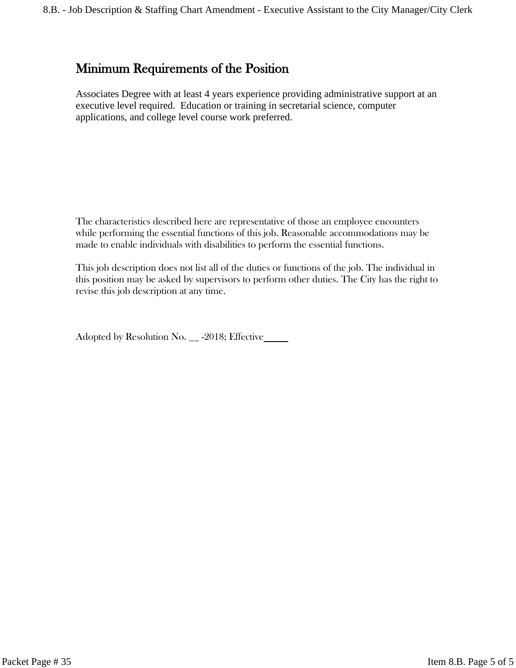# **Minimum Requirements of the Position**

Associates Degree with at least 4 years experience providing administrative support at an executive level required. Education or training in secretarial science, computer applications, and college level course work preferred.

The characteristics described here are representative of those an employee encounters while performing the essential functions of this job. Reasonable accommodations may be made to enable individuals with disabilities to perform the essential functions.

This job description does not list all of the duties or functions of the job. The individual in this position may be asked by supervisors to perform other duties. The City has the right to revise this job description at any time.

Adopted by Resolution No. \_\_ -2018; Effective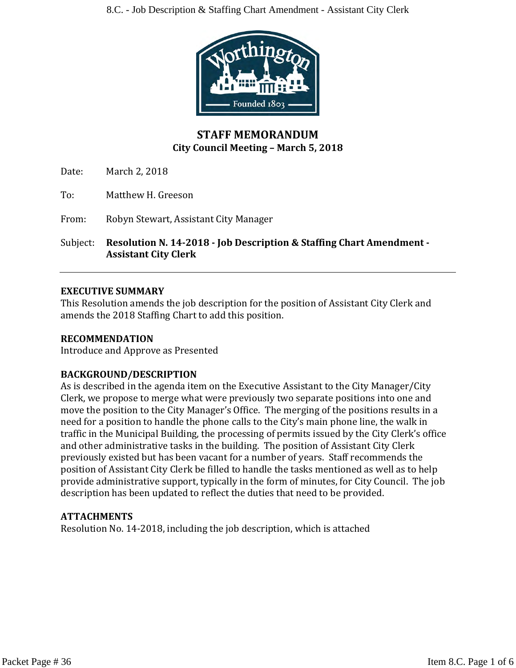

# **STAFF MEMORANDUM City Council Meeting – March 5, 2018**

Date: March 2, 2018

To: Matthew H. Greeson

From: Robyn Stewart, Assistant City Manager

Subject: **Resolution N. 14-2018 - Job Description & Staffing Chart Amendment - Assistant City Clerk**

# **EXECUTIVE SUMMARY**

This Resolution amends the job description for the position of Assistant City Clerk and amends the 2018 Staffing Chart to add this position.

# **RECOMMENDATION**

Introduce and Approve as Presented

# **BACKGROUND/DESCRIPTION**

As is described in the agenda item on the Executive Assistant to the City Manager/City Clerk, we propose to merge what were previously two separate positions into one and move the position to the City Manager's Office. The merging of the positions results in a need for a position to handle the phone calls to the City's main phone line, the walk in traffic in the Municipal Building, the processing of permits issued by the City Clerk's office and other administrative tasks in the building. The position of Assistant City Clerk previously existed but has been vacant for a number of years. Staff recommends the position of Assistant City Clerk be filled to handle the tasks mentioned as well as to help provide administrative support, typically in the form of minutes, for City Council. The job description has been updated to reflect the duties that need to be provided.

# **ATTACHMENTS**

Resolution No. 14-2018, including the job description, which is attached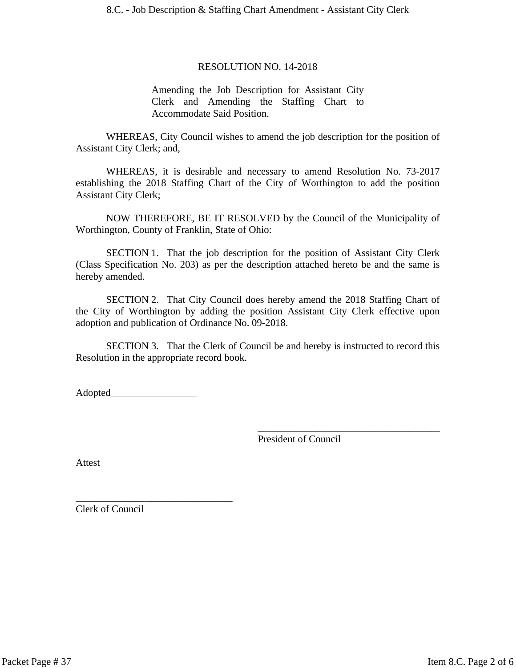#### RESOLUTION NO. 14-2018

Amending the Job Description for Assistant City Clerk and Amending the Staffing Chart to Accommodate Said Position.

WHEREAS, City Council wishes to amend the job description for the position of Assistant City Clerk; and,

WHEREAS, it is desirable and necessary to amend Resolution No. 73-2017 establishing the 2018 Staffing Chart of the City of Worthington to add the position Assistant City Clerk;

NOW THEREFORE, BE IT RESOLVED by the Council of the Municipality of Worthington, County of Franklin, State of Ohio:

SECTION 1. That the job description for the position of Assistant City Clerk (Class Specification No. 203) as per the description attached hereto be and the same is hereby amended.

SECTION 2. That City Council does hereby amend the 2018 Staffing Chart of the City of Worthington by adding the position Assistant City Clerk effective upon adoption and publication of Ordinance No. 09-2018.

SECTION 3. That the Clerk of Council be and hereby is instructed to record this Resolution in the appropriate record book.

Adopted\_

\_\_\_\_\_\_\_\_\_\_\_\_\_\_\_\_\_\_\_\_\_\_\_\_\_\_\_\_\_\_\_

President of Council

\_\_\_\_\_\_\_\_\_\_\_\_\_\_\_\_\_\_\_\_\_\_\_\_\_\_\_\_\_\_\_\_\_\_\_\_

Attest

Clerk of Council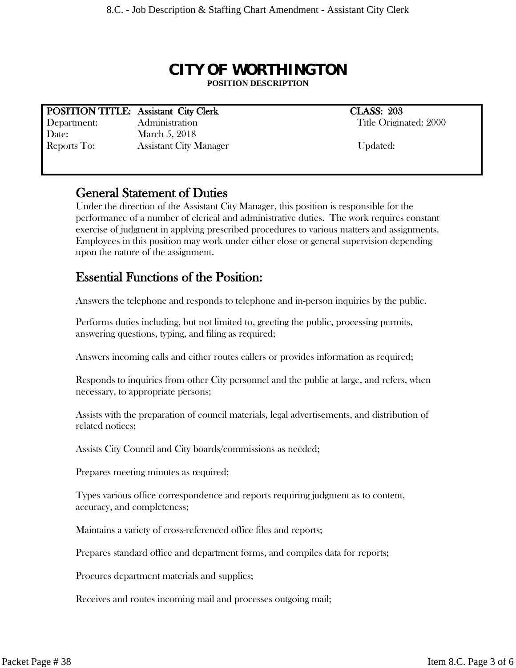# *CITY OF WORTHINGTON* **POSITION DESCRIPTION**

# **POSITION TITLE:** Assistant City Clerk CLASS: 203

Department: Administration Administration Title Originated: 2000 Date: March 5, 2018 Reports To: Assistant City Manager Updated:

# **General Statement of Duties**

Under the direction of the Assistant City Manager, this position is responsible for the performance of a number of clerical and administrative duties. The work requires constant exercise of judgment in applying prescribed procedures to various matters and assignments. Employees in this position may work under either close or general supervision depending upon the nature of the assignment.

# **Essential Functions of the Position:**

Answers the telephone and responds to telephone and in-person inquiries by the public.

Performs duties including, but not limited to, greeting the public, processing permits, answering questions, typing, and filing as required;

Answers incoming calls and either routes callers or provides information as required;

Responds to inquiries from other City personnel and the public at large, and refers, when necessary, to appropriate persons;

Assists with the preparation of council materials, legal advertisements, and distribution of related notices;

Assists City Council and City boards/commissions as needed;

Prepares meeting minutes as required;

Types various office correspondence and reports requiring judgment as to content, accuracy, and completeness;

Maintains a variety of cross-referenced office files and reports;

Prepares standard office and department forms, and compiles data for reports;

Procures department materials and supplies;

Receives and routes incoming mail and processes outgoing mail;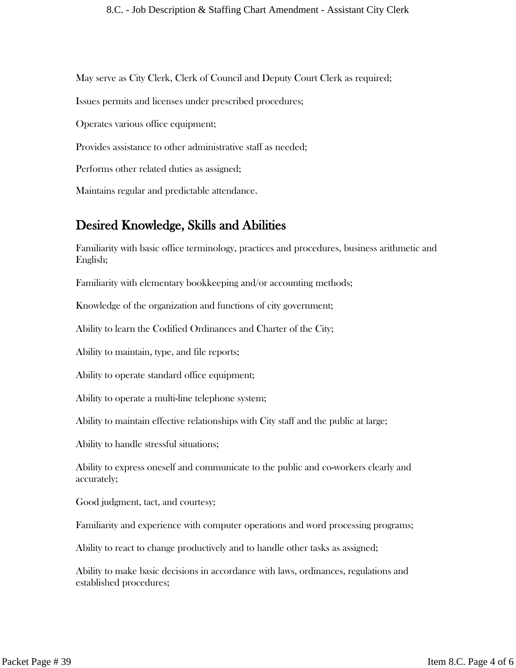May serve as City Clerk, Clerk of Council and Deputy Court Clerk as required;

Issues permits and licenses under prescribed procedures;

Operates various office equipment;

Provides assistance to other administrative staff as needed;

Performs other related duties as assigned;

Maintains regular and predictable attendance.

# **Desired Knowledge, Skills and Abilities**

Familiarity with basic office terminology, practices and procedures, business arithmetic and English;

Familiarity with elementary bookkeeping and/or accounting methods;

Knowledge of the organization and functions of city government;

Ability to learn the Codified Ordinances and Charter of the City;

Ability to maintain, type, and file reports;

Ability to operate standard office equipment;

Ability to operate a multi-line telephone system;

Ability to maintain effective relationships with City staff and the public at large;

Ability to handle stressful situations;

Ability to express oneself and communicate to the public and co-workers clearly and accurately;

Good judgment, tact, and courtesy;

Familiarity and experience with computer operations and word processing programs;

Ability to react to change productively and to handle other tasks as assigned;

Ability to make basic decisions in accordance with laws, ordinances, regulations and established procedures;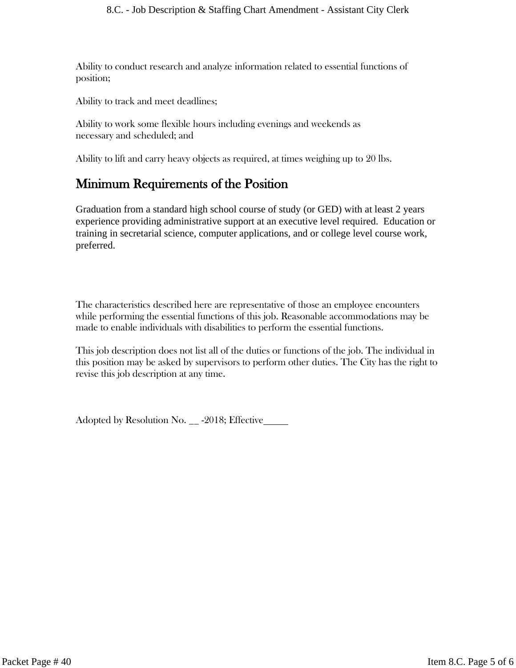Ability to conduct research and analyze information related to essential functions of position;

Ability to track and meet deadlines;

Ability to work some flexible hours including evenings and weekends as necessary and scheduled; and

Ability to lift and carry heavy objects as required, at times weighing up to 20 lbs.

# **Minimum Requirements of the Position**

Graduation from a standard high school course of study (or GED) with at least 2 years experience providing administrative support at an executive level required. Education or training in secretarial science, computer applications, and or college level course work, preferred.

The characteristics described here are representative of those an employee encounters while performing the essential functions of this job. Reasonable accommodations may be made to enable individuals with disabilities to perform the essential functions.

This job description does not list all of the duties or functions of the job. The individual in this position may be asked by supervisors to perform other duties. The City has the right to revise this job description at any time.

Adopted by Resolution No. \_\_ -2018; Effective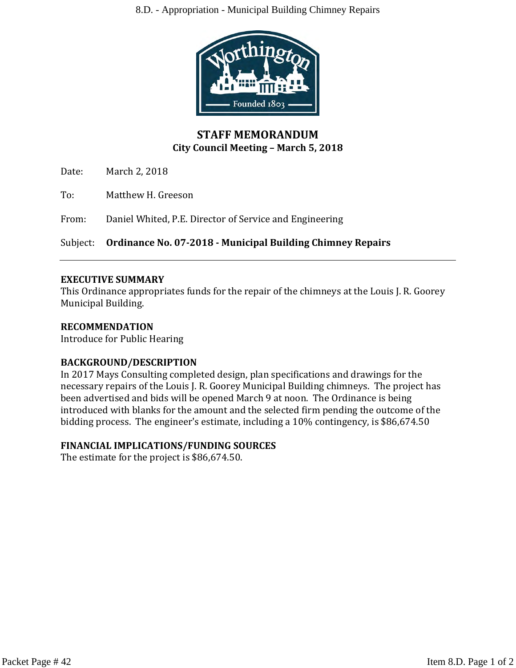#### 8.D. - Appropriation - Municipal Building Chimney Repairs



# **STAFF MEMORANDUM City Council Meeting – March 5, 2018**

Date: March 2, 2018

To: Matthew H. Greeson

From: Daniel Whited, P.E. Director of Service and Engineering

Subject: **Ordinance No. 07-2018 - Municipal Building Chimney Repairs**

#### **EXECUTIVE SUMMARY**

This Ordinance appropriates funds for the repair of the chimneys at the Louis J. R. Goorey Municipal Building.

# **RECOMMENDATION**

Introduce for Public Hearing

# **BACKGROUND/DESCRIPTION**

In 2017 Mays Consulting completed design, plan specifications and drawings for the necessary repairs of the Louis J. R. Goorey Municipal Building chimneys. The project has been advertised and bids will be opened March 9 at noon. The Ordinance is being introduced with blanks for the amount and the selected firm pending the outcome of the bidding process. The engineer's estimate, including a 10% contingency, is \$86,674.50

# **FINANCIAL IMPLICATIONS/FUNDING SOURCES**

The estimate for the project is \$86,674.50.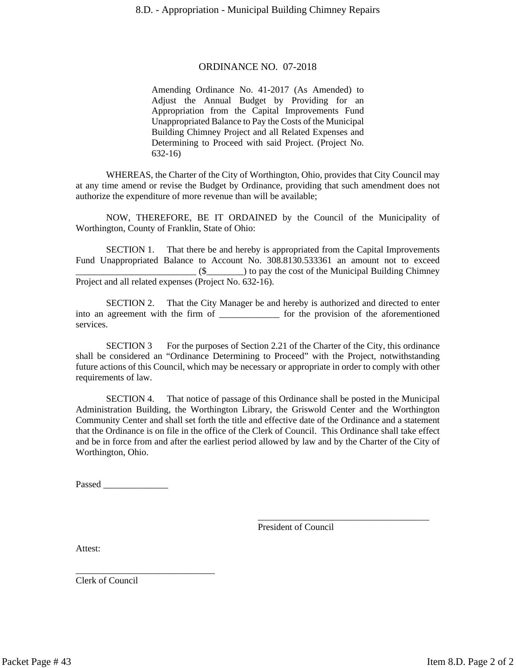#### ORDINANCE NO. 07-2018

Amending Ordinance No. 41-2017 (As Amended) to Adjust the Annual Budget by Providing for an Appropriation from the Capital Improvements Fund Unappropriated Balance to Pay the Costs of the Municipal Building Chimney Project and all Related Expenses and Determining to Proceed with said Project. (Project No. 632-16)

WHEREAS, the Charter of the City of Worthington, Ohio, provides that City Council may at any time amend or revise the Budget by Ordinance, providing that such amendment does not authorize the expenditure of more revenue than will be available;

NOW, THEREFORE, BE IT ORDAINED by the Council of the Municipality of Worthington, County of Franklin, State of Ohio:

SECTION 1. That there be and hereby is appropriated from the Capital Improvements Fund Unappropriated Balance to Account No. 308.8130.533361 an amount not to exceed \_\_\_\_\_\_\_\_\_\_\_\_\_\_\_\_\_\_\_\_\_\_\_\_\_\_ (\$\_\_\_\_\_\_\_\_) to pay the cost of the Municipal Building Chimney Project and all related expenses (Project No. 632-16).

SECTION 2. That the City Manager be and hereby is authorized and directed to enter into an agreement with the firm of \_\_\_\_\_\_\_\_\_\_\_\_\_ for the provision of the aforementioned services.

SECTION 3 For the purposes of Section 2.21 of the Charter of the City, this ordinance shall be considered an "Ordinance Determining to Proceed" with the Project, notwithstanding future actions of this Council, which may be necessary or appropriate in order to comply with other requirements of law.

SECTION 4. That notice of passage of this Ordinance shall be posted in the Municipal Administration Building, the Worthington Library, the Griswold Center and the Worthington Community Center and shall set forth the title and effective date of the Ordinance and a statement that the Ordinance is on file in the office of the Clerk of Council. This Ordinance shall take effect and be in force from and after the earliest period allowed by law and by the Charter of the City of Worthington, Ohio.

Passed \_\_\_\_\_\_\_\_\_\_\_\_\_\_

\_\_\_\_\_\_\_\_\_\_\_\_\_\_\_\_\_\_\_\_\_\_\_\_\_\_\_\_\_\_

President of Council

\_\_\_\_\_\_\_\_\_\_\_\_\_\_\_\_\_\_\_\_\_\_\_\_\_\_\_\_\_\_\_\_\_\_\_\_\_

Attest:

Clerk of Council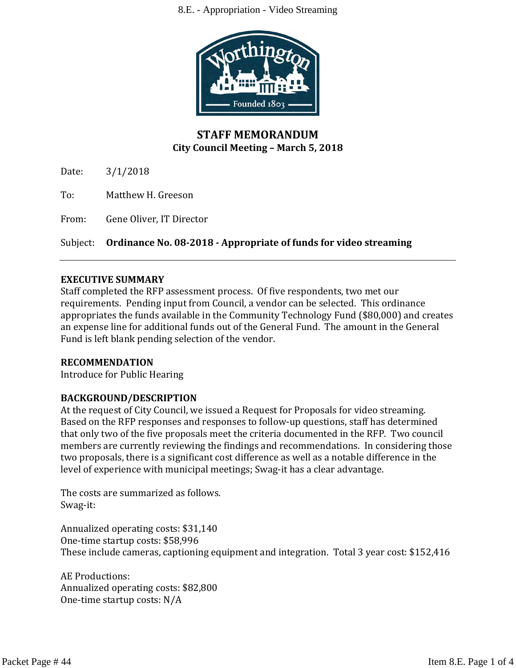

# **STAFF MEMORANDUM City Council Meeting – March 5, 2018**

Date: 3/1/2018

To: Matthew H. Greeson

From: Gene Oliver, IT Director

Subject: **Ordinance No. 08-2018 - Appropriate of funds for video streaming**

#### **EXECUTIVE SUMMARY**

Staff completed the RFP assessment process. Of five respondents, two met our requirements. Pending input from Council, a vendor can be selected. This ordinance appropriates the funds available in the Community Technology Fund (\$80,000) and creates an expense line for additional funds out of the General Fund. The amount in the General Fund is left blank pending selection of the vendor.

# **RECOMMENDATION**

Introduce for Public Hearing

# **BACKGROUND/DESCRIPTION**

At the request of City Council, we issued a Request for Proposals for video streaming. Based on the RFP responses and responses to follow-up questions, staff has determined that only two of the five proposals meet the criteria documented in the RFP. Two council members are currently reviewing the findings and recommendations. In considering those two proposals, there is a significant cost difference as well as a notable difference in the level of experience with municipal meetings; Swag-it has a clear advantage.

The costs are summarized as follows. Swag-it:

Annualized operating costs: \$31,140 One-time startup costs: \$58,996 These include cameras, captioning equipment and integration. Total 3 year cost: \$152,416

AE Productions: Annualized operating costs: \$82,800 One-time startup costs: N/A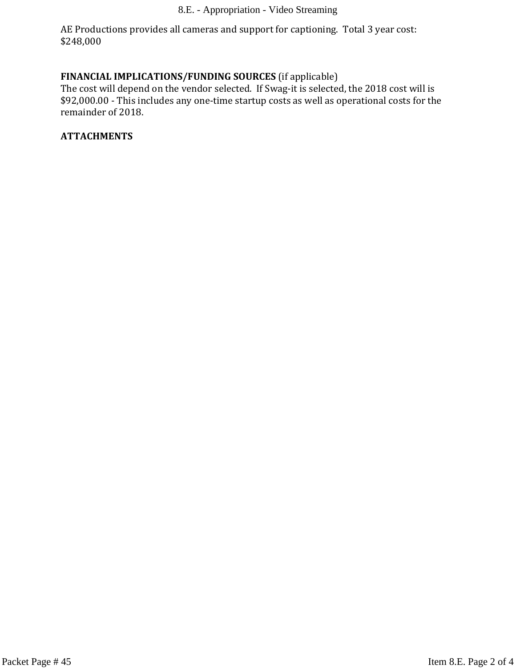AE Productions provides all cameras and support for captioning. Total 3 year cost: \$248,000

# **FINANCIAL IMPLICATIONS/FUNDING SOURCES** (if applicable)

The cost will depend on the vendor selected. If Swag-it is selected, the 2018 cost will is \$92,000.00 - This includes any one-time startup costs as well as operational costs for the remainder of 2018.

# **ATTACHMENTS**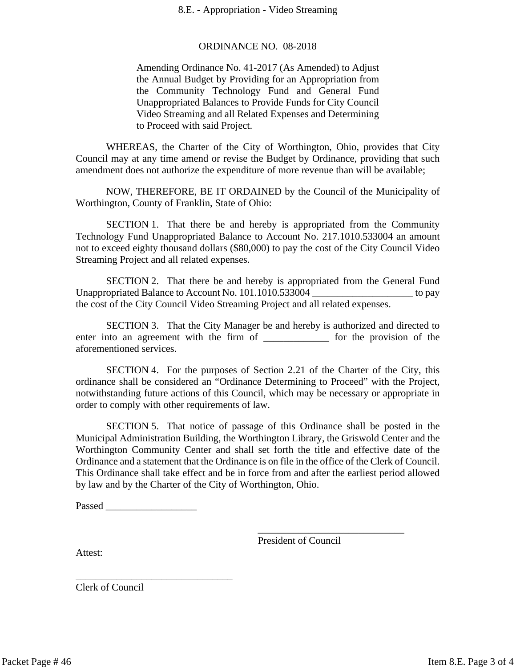#### ORDINANCE NO. 08-2018

Amending Ordinance No. 41-2017 (As Amended) to Adjust the Annual Budget by Providing for an Appropriation from the Community Technology Fund and General Fund Unappropriated Balances to Provide Funds for City Council Video Streaming and all Related Expenses and Determining to Proceed with said Project.

WHEREAS, the Charter of the City of Worthington, Ohio, provides that City Council may at any time amend or revise the Budget by Ordinance, providing that such amendment does not authorize the expenditure of more revenue than will be available;

NOW, THEREFORE, BE IT ORDAINED by the Council of the Municipality of Worthington, County of Franklin, State of Ohio:

SECTION 1. That there be and hereby is appropriated from the Community Technology Fund Unappropriated Balance to Account No. 217.1010.533004 an amount not to exceed eighty thousand dollars (\$80,000) to pay the cost of the City Council Video Streaming Project and all related expenses.

SECTION 2. That there be and hereby is appropriated from the General Fund Unappropriated Balance to Account No. 101.1010.533004 \_\_\_\_\_\_\_\_\_\_\_\_\_\_\_\_\_\_\_\_\_ to pay the cost of the City Council Video Streaming Project and all related expenses.

SECTION 3. That the City Manager be and hereby is authorized and directed to enter into an agreement with the firm of \_\_\_\_\_\_\_\_\_\_\_\_\_ for the provision of the aforementioned services.

SECTION 4. For the purposes of Section 2.21 of the Charter of the City, this ordinance shall be considered an "Ordinance Determining to Proceed" with the Project, notwithstanding future actions of this Council, which may be necessary or appropriate in order to comply with other requirements of law.

SECTION 5. That notice of passage of this Ordinance shall be posted in the Municipal Administration Building, the Worthington Library, the Griswold Center and the Worthington Community Center and shall set forth the title and effective date of the Ordinance and a statement that the Ordinance is on file in the office of the Clerk of Council. This Ordinance shall take effect and be in force from and after the earliest period allowed by law and by the Charter of the City of Worthington, Ohio.

Passed  $\Box$ 

\_\_\_\_\_\_\_\_\_\_\_\_\_\_\_\_\_\_\_\_\_\_\_\_\_\_\_\_\_\_\_

President of Council

\_\_\_\_\_\_\_\_\_\_\_\_\_\_\_\_\_\_\_\_\_\_\_\_\_\_\_\_\_

Attest:

Clerk of Council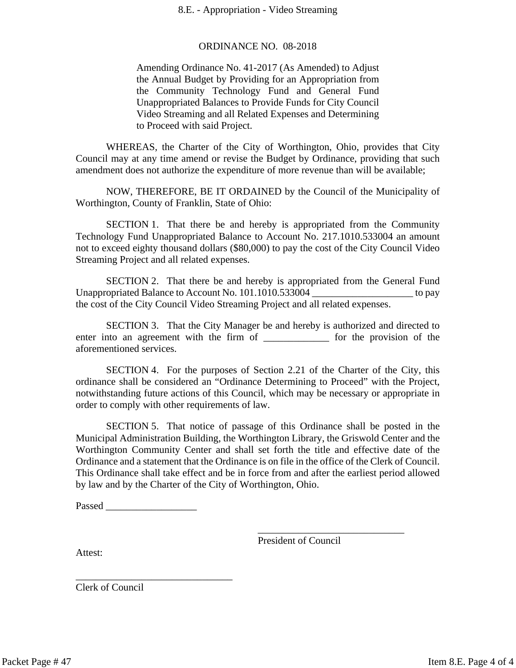#### ORDINANCE NO. 08-2018

Amending Ordinance No. 41-2017 (As Amended) to Adjust the Annual Budget by Providing for an Appropriation from the Community Technology Fund and General Fund Unappropriated Balances to Provide Funds for City Council Video Streaming and all Related Expenses and Determining to Proceed with said Project.

WHEREAS, the Charter of the City of Worthington, Ohio, provides that City Council may at any time amend or revise the Budget by Ordinance, providing that such amendment does not authorize the expenditure of more revenue than will be available;

NOW, THEREFORE, BE IT ORDAINED by the Council of the Municipality of Worthington, County of Franklin, State of Ohio:

SECTION 1. That there be and hereby is appropriated from the Community Technology Fund Unappropriated Balance to Account No. 217.1010.533004 an amount not to exceed eighty thousand dollars (\$80,000) to pay the cost of the City Council Video Streaming Project and all related expenses.

SECTION 2. That there be and hereby is appropriated from the General Fund Unappropriated Balance to Account No. 101.1010.533004 \_\_\_\_\_\_\_\_\_\_\_\_\_\_\_\_\_\_\_\_\_ to pay the cost of the City Council Video Streaming Project and all related expenses.

SECTION 3. That the City Manager be and hereby is authorized and directed to enter into an agreement with the firm of \_\_\_\_\_\_\_\_\_\_\_\_\_ for the provision of the aforementioned services.

SECTION 4. For the purposes of Section 2.21 of the Charter of the City, this ordinance shall be considered an "Ordinance Determining to Proceed" with the Project, notwithstanding future actions of this Council, which may be necessary or appropriate in order to comply with other requirements of law.

SECTION 5. That notice of passage of this Ordinance shall be posted in the Municipal Administration Building, the Worthington Library, the Griswold Center and the Worthington Community Center and shall set forth the title and effective date of the Ordinance and a statement that the Ordinance is on file in the office of the Clerk of Council. This Ordinance shall take effect and be in force from and after the earliest period allowed by law and by the Charter of the City of Worthington, Ohio.

Passed  $\Box$ 

\_\_\_\_\_\_\_\_\_\_\_\_\_\_\_\_\_\_\_\_\_\_\_\_\_\_\_\_\_\_\_

President of Council

\_\_\_\_\_\_\_\_\_\_\_\_\_\_\_\_\_\_\_\_\_\_\_\_\_\_\_\_\_

Attest:

Clerk of Council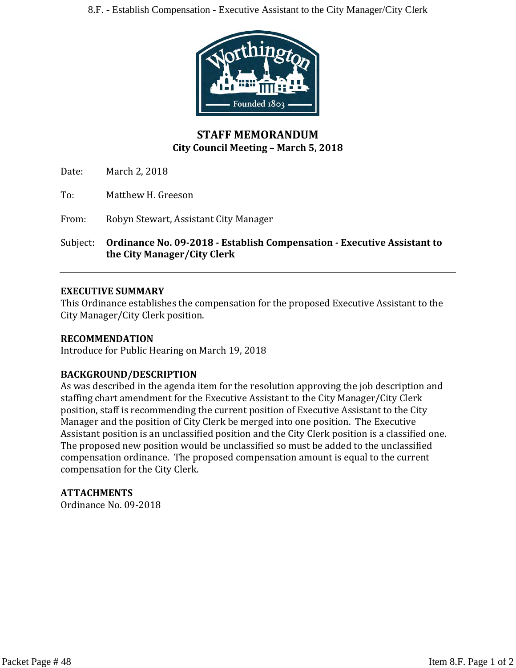

# **STAFF MEMORANDUM City Council Meeting – March 5, 2018**

Date: March 2, 2018

To: Matthew H. Greeson

From: Robyn Stewart, Assistant City Manager

Subject: **Ordinance No. 09-2018 - Establish Compensation - Executive Assistant to the City Manager/City Clerk**

# **EXECUTIVE SUMMARY**

This Ordinance establishes the compensation for the proposed Executive Assistant to the City Manager/City Clerk position.

# **RECOMMENDATION**

Introduce for Public Hearing on March 19, 2018

# **BACKGROUND/DESCRIPTION**

As was described in the agenda item for the resolution approving the job description and staffing chart amendment for the Executive Assistant to the City Manager/City Clerk position, staff is recommending the current position of Executive Assistant to the City Manager and the position of City Clerk be merged into one position. The Executive Assistant position is an unclassified position and the City Clerk position is a classified one. The proposed new position would be unclassified so must be added to the unclassified compensation ordinance. The proposed compensation amount is equal to the current compensation for the City Clerk.

# **ATTACHMENTS**

Ordinance No. 09-2018